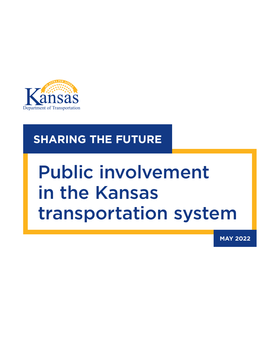

## **SHARING THE FUTURE**

# Public involvement in the Kansas transportation system

**MAY 2022**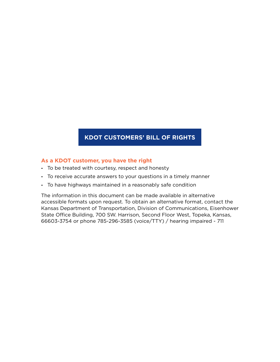## **KDOT CUSTOMERS' BILL OF RIGHTS**

#### **As a KDOT customer, you have the right**

- **-** To be treated with courtesy, respect and honesty
- **-** To receive accurate answers to your questions in a timely manner
- **-** To have highways maintained in a reasonably safe condition

The information in this document can be made available in alternative accessible formats upon request. To obtain an alternative format, contact the Kansas Department of Transportation, Division of Communications, Eisenhower State Office Building, 700 SW. Harrison, Second Floor West, Topeka, Kansas, 66603-3754 or phone 785-296-3585 (voice/TTY) / hearing impaired - 711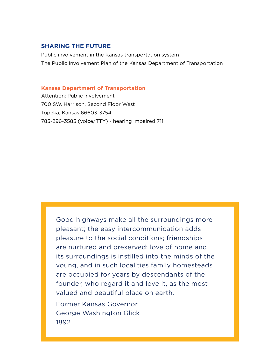#### **SHARING THE FUTURE**

Public involvement in the Kansas transportation system The Public Involvement Plan of the Kansas Department of Transportation

#### **Kansas Department of Transportation**

Attention: Public involvement 700 SW. Harrison, Second Floor West Topeka, Kansas 66603-3754 785-296-3585 (voice/TTY) - hearing impaired 711

> Good highways make all the surroundings more pleasant; the easy intercommunication adds pleasure to the social conditions; friendships are nurtured and preserved; love of home and its surroundings is instilled into the minds of the young, and in such localities family homesteads are occupied for years by descendants of the founder, who regard it and love it, as the most valued and beautiful place on earth.

Former Kansas Governor George Washington Glick 1892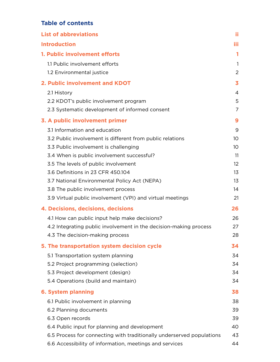## **Table of contents**

| <b>List of abbreviations</b>                                          | Ħ               |
|-----------------------------------------------------------------------|-----------------|
| <b>Introduction</b>                                                   | iii             |
| 1. Public involvement efforts                                         | 1               |
| 1.1 Public involvement efforts                                        | $\mathbf{1}$    |
| 1.2 Environmental justice                                             | 2               |
| 2. Public involvement and KDOT                                        | 3               |
| 2.1 History                                                           | 4               |
| 2.2 KDOT's public involvement program                                 | 5               |
| 2.3 Systematic development of informed consent                        | 7               |
| 3. A public involvement primer                                        | 9               |
| 3.1 Information and education                                         | 9               |
| 3.2 Public involvement is different from public relations             | 10 <sup>°</sup> |
| 3.3 Public involvement is challenging                                 | 10              |
| 3.4 When is public involvement successful?                            | 11              |
| 3.5 The levels of public involvement                                  | 12 <sup>°</sup> |
| 3.6 Definitions in 23 CFR 450.104                                     | 13              |
| 3.7 National Environmental Policy Act (NEPA)                          | 13              |
| 3.8 The public involvement process                                    | 14              |
| 3.9 Virtual public involvement (VPI) and virtual meetings             | 21              |
| 4. Decisions, decisions, decisions                                    | 26              |
| 4.1 How can public input help make decisions?                         | 26              |
| 4.2 Integrating public involvement in the decision-making process     | 27              |
| 4.3 The decision-making process                                       | 28              |
| 5. The transportation system decision cycle                           | 34              |
| 5.1 Transportation system planning                                    | 34              |
| 5.2 Project programming (selection)                                   | 34              |
| 5.3 Project development (design)                                      | 34              |
| 5.4 Operations (build and maintain)                                   | 34              |
| <b>6. System planning</b>                                             | 38              |
| 6.1 Public involvement in planning                                    | 38              |
| 6.2 Planning documents                                                | 39              |
| 6.3 Open records                                                      | 39              |
| 6.4 Public input for planning and development                         | 40              |
| 6.5 Process for connecting with traditionally underserved populations | 43              |
| 6.6 Accessibility of information, meetings and services               | 44              |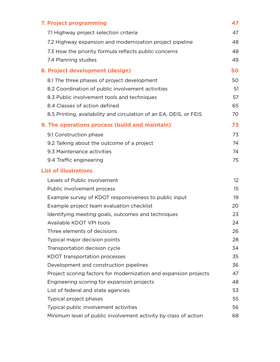| 7. Project programming                                             | 47              |
|--------------------------------------------------------------------|-----------------|
| 7.1 Highway project selection criteria                             | 47              |
| 7.2 Highway expansion and modernization project pipeline           | 48              |
| 7.3 How the priority formula reflects public concerns              | 48              |
| 7.4 Planning studies                                               | 49              |
| 8. Project development (design)                                    | 50              |
| 8.1 The three phases of project development                        | 50              |
| 8.2 Coordination of public involvement activities                  | 51              |
| 8.3 Public involvement tools and techniques                        | 57              |
| 8.4 Classes of action defined                                      | 65              |
| 8.5 Printing, availability and circulation of an EA, DEIS, or FEIS | 70              |
| 9. The operations process (build and maintain)                     | 73              |
| 9.1 Construction phase                                             | 73              |
| 9.2 Talking about the outcome of a project                         | 74              |
| 9.3 Maintenance activities                                         | 74              |
| 9.4 Traffic engineering                                            | 75              |
| <b>List of illustrations</b>                                       |                 |
| Levels of Public involvement                                       | 12 <sup>2</sup> |
| Public involvement process                                         | 15              |
| Example survey of KDOT responsiveness to public input              | 19              |
| Example project team evaluation checklist                          | 20              |
| Identifying meeting goals, outcomes and techniques                 | 23              |
| Available KDOT VPI tools                                           | 24              |
| Three elements of decisions                                        | 26              |
| Typical major decision points                                      | 28              |
| Transportation decision cycle                                      | 34              |
| KDOT transportation processes                                      | 35              |
| Development and construction pipelines                             | 36              |
| Project scoring factors for modernization and expansion projects   | 47              |
| Engineering scoring for expansion projects                         | 48              |
| List of federal and state agencies                                 | 53              |
| Typical project phases                                             | 55              |
| Typical public involvement activities                              | 56              |
| Minimum level of public involvement activity by class of action    | 68              |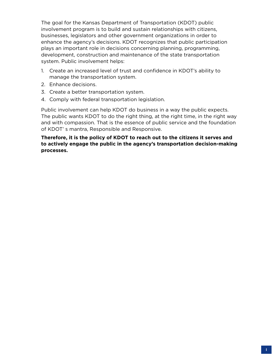The goal for the Kansas Department of Transportation (KDOT) public involvement program is to build and sustain relationships with citizens, businesses, legislators and other government organizations in order to enhance the agency's decisions. KDOT recognizes that public participation plays an important role in decisions concerning planning, programming, development, construction and maintenance of the state transportation system. Public involvement helps:

- 1. Create an increased level of trust and confidence in KDOT's ability to manage the transportation system.
- 2. Enhance decisions.
- 3. Create a better transportation system.
- 4. Comply with federal transportation legislation.

Public involvement can help KDOT do business in a way the public expects. The public wants KDOT to do the right thing, at the right time, in the right way and with compassion. That is the essence of public service and the foundation of KDOT' s mantra, Responsible and Responsive.

#### **Therefore, it is the policy of KDOT to reach out to the citizens it serves and to actively engage the public in the agency's transportation decision-making processes.**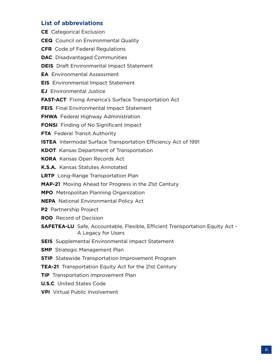## **List of abbreviations**

| <b>CE</b> Categorical Exclusion                                                                            |
|------------------------------------------------------------------------------------------------------------|
| <b>CEQ</b> Council on Environmental Quality                                                                |
| <b>CFR</b> Code of Federal Regulations                                                                     |
| <b>DAC</b> Disadvantaged Communities                                                                       |
| <b>DEIS</b> Draft Environmental Impact Statement                                                           |
| <b>EA</b> Environmental Assessment                                                                         |
| <b>EIS</b> Environmental Impact Statement                                                                  |
| <b>EJ</b> Environmental Justice                                                                            |
| <b>FAST-ACT</b> Fixing America's Surface Transportation Act                                                |
| <b>FEIS</b> Final Environmental Impact Statement                                                           |
| <b>FHWA</b> Federal Highway Administration                                                                 |
| <b>FONSI</b> Finding of No Significant Impact                                                              |
| <b>FTA</b> Federal Transit Authority                                                                       |
| <b>ISTEA</b> Intermodal Surface Transportation Efficiency Act of 1991                                      |
| <b>KDOT</b> Kansas Department of Transportation                                                            |
| <b>KORA</b> Kansas Open Records Act                                                                        |
| K.S.A. Kansas Statutes Annotated                                                                           |
| <b>LRTP</b> Long-Range Transportation Plan                                                                 |
| <b>MAP-21</b> Moving Ahead for Progress in the 21st Century                                                |
| <b>MPO</b> Metropolitan Planning Organization                                                              |
| <b>NEPA</b> National Environmental Policy Act                                                              |
| P2 Partnership Project                                                                                     |
| <b>ROD</b> Record of Decision                                                                              |
| <b>SAFETEA-LU</b> Safe, Accountable, Flexible, Efficient Transportation Equity Act -<br>A Legacy for Users |
| <b>SEIS</b> Supplemental Environmental Impact Statement                                                    |
| <b>SMP</b> Strategic Management Plan                                                                       |
| <b>STIP</b> Statewide Transportation Improvement Program                                                   |
| TEA-21 Transportation Equity Act for the 21st Century                                                      |
| <b>TIP</b> Transportation Improvement Plan                                                                 |
| <b>U.S.C</b> United States Code                                                                            |
| <b>VPI</b> Virtual Public Involvement                                                                      |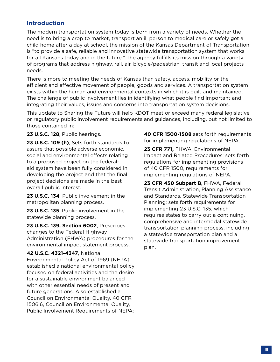## **Introduction**

The modern transportation system today is born from a variety of needs. Whether the need is to bring a crop to market, transport an ill person to medical care or safely get a child home after a day at school, the mission of the Kansas Department of Transportation is "to provide a safe, reliable and innovative statewide transportation system that works for all Kansans today and in the future." The agency fulfills its mission through a variety of programs that address highway, rail, air, bicycle/pedestrian, transit and local projects needs.

There is more to meeting the needs of Kansas than safety, access, mobility or the efficient and effective movement of people, goods and services. A transportation system exists within the human and environmental contexts in which it is built and maintained. The challenge of public involvement lies in identifying what people find important and integrating their values, issues and concerns into transportation system decisions.

This update to Sharing the Future will help KDOT meet or exceed many federal legislative or regulatory public involvement requirements and guidances, including, but not limited to those contained in:

**23 U.S.C. 128**, Public hearings.

**23 U.S.C. 109 (h)**, Sets forth standards to assure that possible adverse economic, social and environmental effects relating to a proposed project on the federalaid system have been fully considered in developing the project and that the final project decisions are made in the best overall public interest.

**23 U.S.C. 134**, Public involvement in the metropolitan planning process.

**23 U.S.C. 135**, Public involvement in the statewide planning process.

**23 U.S.C. 139, Section 6002**, Prescribes changes to the Federal Highway Administration (FHWA) procedures for the environmental impact statement process.

#### **42 U.S.C. 4321-4347**, National

Environmental Policy Act of 1969 (NEPA), established a national environmental policy focused on federal activities and the desire for a sustainable environment balanced with other essential needs of present and future generations. Also established a Council on Environmental Quality. 40 CFR 1506.6, Council on Environmental Quality, Public Involvement Requirements of NEPA:

**40 CFR 1500-1508** sets forth requirements for implementing regulations of NEPA.

**23 CFR 771,** FHWA, Environmental Impact and Related Procedures: sets forth regulations for implementing provisions of 40 CFR 1500, requirements for implementing regulations of NEPA.

**23 CFR 450 Subpart B**, FHWA, Federal Transit Administration, Planning Assistance and Standards, Statewide Transportation Planning: sets forth requirements for implementing 23 U.S.C. 135, which requires states to carry out a continuing, comprehensive and intermodal statewide transportation planning process, including a statewide transportation plan and a statewide transportation improvement plan.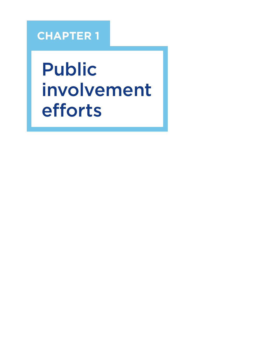## **CHAPTER 1**

Public involvement efforts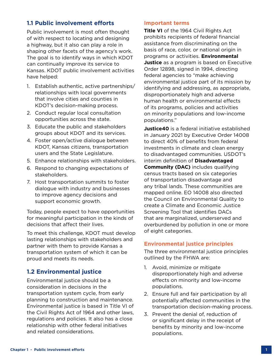## **1.1 Public involvement efforts**

Public involvement is most often thought of with respect to locating and designing a highway, but it also can play a role in shaping other facets of the agency's work. The goal is to identify ways in which KDOT can continually improve its service to Kansas. KDOT public involvement activities have helped:

- 1. Establish authentic, active partnerships/ relationships with local governments that involve cities and counties in KDOT's decision-making process.
- 2. Conduct regular local consultation opportunities across the state.
- 3. Educate the public and stakeholders groups about KDOT and its services.
- 4. Foster open/active dialogue between KDOT, Kansas citizens, transportation users and the State Legislature.
- 5. Enhance relationships with stakeholders.
- 6. Respond to changing expectations of stakeholders.
- 7. Host transportation summits to foster dialogue with industry and businesses to improve agency decisions and support economic growth.

Today, people expect to have opportunities for meaningful participation in the kinds of decisions that affect their lives.

To meet this challenge, KDOT must develop lasting relationships with stakeholders and partner with them to provide Kansas a transportation system of which it can be proud and meets its needs.

## **1.2 Environmental justice**

Environmental justice should be a consideration in decisions in the transportation system cycle, from early planning to construction and maintenance. Environmental justice is based in Title VI of the Civil Rights Act of 1964 and other laws, regulations and policies. It also has a close relationship with other federal initiatives and related considerations.

#### **Important terms**

**Title VI** of the 1964 Civil Rights Act prohibits recipients of federal financial assistance from discriminating on the basis of race, color, or national origin in programs or activities. **Environmental Justice** as a program is based on Executive Order 12898, signed in 1994, directing federal agencies to "make achieving environmental justice part of its mission by identifying and addressing, as appropriate, disproportionately high and adverse human health or environmental effects of its programs, policies and activities on minority populations and low-income populations."

**Justice40** is a federal initiative established in January 2021 by Executive Order 14008 to direct 40% of benefits from federal investments in climate and clean energy to disadvantaged communities. USDOT's interim definition of **Disadvantaged Community (DAC)** includes qualifying census tracts based on six categories of transportation disadvantage and any tribal lands. These communities are mapped online. EO 14008 also directed the Council on Environmental Quality to create a Climate and Economic Justice Screening Tool that identifies DACs that are marginalized, underserved and overburdened by pollution in one or more of eight categories.

#### **Environmental justice principles**

The three environmental justice principles outlined by the FHWA are:

- 1. Avoid, minimize or mitigate disproportionately high and adverse effects on minority and low-income populations.
- 2. Ensure full and fair participation by all potentially affected communities in the transportation decision-making process.
- 3. Prevent the denial of, reduction of or significant delay in the receipt of benefits by minority and low-income populations.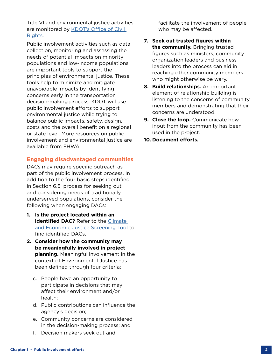Title VI and environmental justice activities are monitored by KDOT's Office of Civil [Rights](https://www.ksdot.org/divadmin/civilrights/).

Public involvement activities such as data collection, monitoring and assessing the needs of potential impacts on minority populations and low-income populations are important tools to support the principles of environmental justice. These tools help to minimize and mitigate unavoidable impacts by identifying concerns early in the transportation decision-making process. KDOT will use public involvement efforts to support environmental justice while trying to balance public impacts, safety, design, costs and the overall benefit on a regional or state level. More resources on public involvement and environmental justice are available from FHWA.

#### **Engaging disadvantaged communities**

DACs may require specific outreach as part of the public involvement process. In addition to the four basic steps identified in Section 6.5, process for seeking out and considering needs of traditionally underserved populations, consider the following when engaging DACs:

- **1. Is the project located within an identified DAC?** Refer to the **Climate** [and Economic Justice Screening Tool](https://screeningtool.geoplatform.gov/en/#3/33.47/-97.5) to find identified DACs.
- **2. Consider how the community may be meaningfully involved in project planning.** Meaningful involvement in the context of Environmental Justice has been defined through four criteria:
	- c. People have an opportunity to participate in decisions that may affect their environment and/or health;
	- d. Public contributions can influence the agency's decision;
	- e. Community concerns are considered in the decision-making process; and
	- f. Decision makers seek out and

facilitate the involvement of people who may be affected.

- **7. Seek out trusted figures within the community.** Bringing trusted figures such as ministers, community organization leaders and business leaders into the process can aid in reaching other community members who might otherwise be wary.
- **8. Build relationships.** An important element of relationship building is listening to the concerns of community members and demonstrating that their concerns are understood.
- **9. Close the loop.** Communicate how input from the community has been used in the project.
- **10. Document efforts.**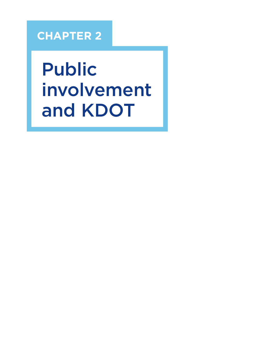## **CHAPTER 2**

Public involvement and KDOT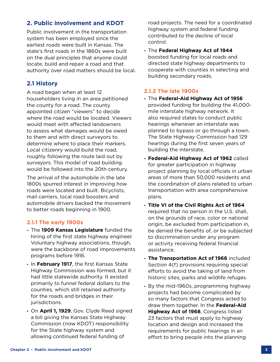## **2. Public involvement and KDOT**

Public involvement in the transportation system has been employed since the earliest roads were built in Kansas. The state's first roads in the 1860s were built on the dual principles that anyone could locate, build and repair a road and that authority over road matters should be local.

## **2.1 History**

A road began when at least 12 householders living in an area petitioned the county for a road. The county appointed citizen "viewers" to decide where the road would be located. Viewers would meet with affected landowners to assess what damages would be owed to them and with direct surveyors to determine where to place their markers. Local citizenry would build the road, roughly following the route laid out by surveyors. This model of road building would be followed into the 20th century.

The arrival of the automobile in the late 1800s spurred interest in improving how roads were located and built. Bicyclists, mail carriers, local road boosters and automobile drivers backed the movement to better roads beginning in 1900.

#### **2.1.1 The early 1900s**

- **-** The **1909 Kansas Legislature** funded the hiring of the first state highway engineer. Voluntary highway associations, though, were the backbone of road improvements programs before 1916.
- **-** In **February 1917**, the first Kansas State Highway Commission was formed, but it had little statewide authority. It existed primarily to funnel federal dollars to the counties, which still retained authority for the roads and bridges in their jurisdictions.
- **-** On **April 1, 1929**, Gov. Clyde Reed signed a bill giving the Kansas State Highway Commission (now KDOT) responsibility for the State highway system and allowing continued federal funding of

road projects. The need for a coordinated highway system and federal funding contributed to the decline of local control.

**-** The **Federal Highway Act of 1944** boosted funding for local roads and directed state highway departments to cooperate with counties in selecting and building secondary roads.

#### **2.1.2 The late 1900s**

- **-** The **Federal-Aid Highway Act of 1956** provided funding for building the 41,000 mile interstate highway network. It also required states to conduct public hearings whenever an interstate was planned to bypass or go through a town. The State Highway Commission had 129 hearings during the first seven years of building the interstate.
- **- Federal-Aid Highway Act of 1962** called for greater participation in highway project planning by local officials in urban areas of more than 50,000 residents and the coordination of plans related to urban transportation with area comprehensive plans.
- **- Title VI of the Civil Rights Act of 1964** required that no person in the U.S. shall, on the grounds of race, color or national origin, be excluded from participation in, be denied the benefits of, or be subjected to discrimination under any program or activity receiving federal financial assistance.
- **- The Transportation Act of 1966** included Section 4(f) provisions requiring special efforts to avoid the taking of land from historic sites, parks and wildlife refuges.
- **-** By the mid-1960s, programming highway projects had become complicated by so many factors that Congress acted to draw them together. In the **Federal-Aid Highway Act of 1968**, Congress listed 23 factors that must apply to highway location and design and increased the requirements for public hearings in an effort to bring people into the planning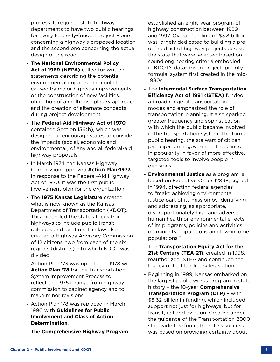process. It required state highway departments to have two public hearings for every federally-funded project – one concerning a highway's proposed location and the second one concerning the actual design of the road.

- **-** The **National Environmental Policy Act of 1969 (NEPA)** called for written statements describing the potential environmental impacts that could be caused by major highway improvements or the construction of new facilities, utilization of a multi-disciplinary approach and the creation of alternate concepts during project development.
- **-** The **Federal-Aid Highway Act of 1970**  contained Section 136(b), which was designed to encourage states to consider the impacts (social, economic and environmental) of any and all federal-aid highway proposals.
- **-** In March 1974, the Kansas Highway Commission approved **Action Plan-1973** in response to the Federal-Aid Highway Act of 1970. It was the first public involvement plan for the organization.
- **-** The **1975 Kansas Legislature** created what is now known as the Kansas Department of Transportation (KDOT). This expanded the state's focus from highways to include public transit, railroads and aviation. The law also created a Highway Advisory Commission of 12 citizens, two from each of the six regions (districts) into which KDOT was divided.
- **-** Action Plan '73 was updated in 1978 with **Action Plan '78** for the Transportation System Improvement Process to reflect the 1975 change from highway commission to cabinet agency and to make minor revisions.
- **-** Action Plan '78 was replaced in March 1990 with **Guidelines for Public Involvement and Class of Action Determination**.
- **-** The **Comprehensive Highway Program**

established an eight-year program of highway construction between 1989 and 1997. Overall funding of \$3.8 billion was largely dedicated to building a predefined list of highway projects across the state that were selected based on sound engineering criteria embodied in KDOT's data-driven project 'priority formula' system first created in the mid-1980s.

- **-** The **Intermodal Surface Transportation Efficiency Act of 1991 (ISTEA)** funded a broad range of transportation modes and emphasized the role of transportation planning. It also sparked greater frequency and sophistication with which the public became involved in the transportation system. The formal public hearing, the stalwart of citizen participation in government, declined in popularity in favor of more effective, targeted tools to involve people in decisions.
- **- Environmental Justice** as a program is based on Executive Order 12898, signed in 1994, directing federal agencies to "make achieving environmental justice part of its mission by identifying and addressing, as appropriate, disproportionately high and adverse human health or environmental effects of its programs, policies and activities on minority populations and low-income populations."
- **-** The **Transportation Equity Act for the 21st Century (TEA-21)**, created in 1998, reauthorized ISTEA and continued the legacy of that landmark legislation.
- **-** Beginning in 1999, Kansas embarked on the largest public works program in state history – the 10-year **Comprehensive Transportation Program (CTP)** – with \$5.62 billion in funding, which included support not just for highways, but for transit, rail and aviation. Created under the guidance of the Transportation 2000 statewide taskforce, the CTP's success was based on providing certainty about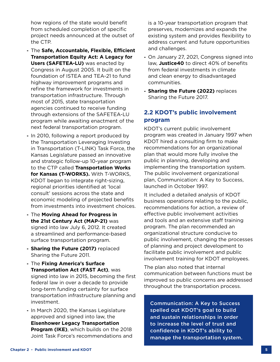how regions of the state would benefit from scheduled completion of specific project needs announced at the outset of the CTP.

- **-** The **Safe, Accountable, Flexible, Efficient Transportation Equity Act: A Legacy for Users (SAFETEA-LU)** was enacted by Congress in August 2005. It built on the foundation of ISTEA and TEA-21 to fund highway improvement programs and refine the framework for investments in transportation infrastructure. Through most of 2015, state transportation agencies continued to receive funding through extensions of the SAFETEA-LU program while awaiting enactment of the next federal transportation program.
- **-** In 2010, following a report produced by the Transportation Leveraging Investing in Transportation (T-LINK) Task Force, the Kansas Legislature passed an innovative and strategic follow-up 10-year program to the CTP called **Transportation Works for Kansas (T-WORKS).** With T-WORKS, KDOT began to integrate right-sizing, regional priorities identified at 'local consult' sessions across the state and economic modeling of projected benefits from investments into investment choices.
- **-** The **Moving Ahead for Progress in the 21st Century Act (MAP-21)** was signed into law July 6, 2012. It created a streamlined and performance-based surface transportation program.
- **- Sharing the Future (2017)** replaced Sharing the Future 2011.
- **-** The **Fixing America's Surface Transportation Act (FAST Act)**, was signed into law in 2015, becoming the first federal law in over a decade to provide long-term funding certainty for surface transportation infrastructure planning and investment.
- **-** In March 2020, the Kansas Legislature approved and signed into law, the **Eisenhower Legacy Transportation Program (IKE)**, which builds on the 2018 Joint Task Force's recommendations and

is a 10-year transportation program that preserves, modernizes and expands the existing system and provides flexibility to address current and future opportunities and challenges.

- **-** On January 27, 2021, Congress signed into law, **Justice40** to direct 40% of benefits from federal investments in climate and clean energy to disadvantaged communities.
- **- Sharing the Future (2022)** replaces Sharing the Future 2017.

## **2.2 KDOT's public involvement program**

KDOT's current public involvement program was created in January 1997 when KDOT hired a consulting firm to make recommendations for an organizational plan that would more fully involve the public in planning, developing and implementing the transportation system. The public involvement organizational plan, Communication: A Key to Success, launched in October 1997.

It included a detailed analysis of KDOT business operations relating to the public, recommendations for action, a review of effective public involvement activities and tools and an extensive staff training program. The plan recommended an organizational structure conducive to public involvement, changing the processes of planning and project development to facilitate public involvement and public involvement training for KDOT employees.

The plan also noted that internal communication between functions must be improved so public concerns are addressed throughout the transportation process.

Communication: A Key to Success spelled out KDOT's goal to build and sustain relationships in order to increase the level of trust and confidence in KDOT's ability to manage the transportation system.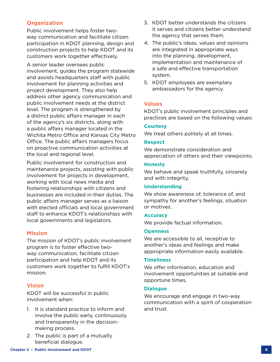#### **Organization**

Public involvement helps foster twoway communication and facilitate citizen participation in KDOT planning, design and construction projects to help KDOT and its customers work together effectively.

A senior leader oversees public involvement, guides the program statewide and assists headquarters staff with public involvement for planning activities and project development. They also help address other agency communication and public involvement needs at the district level. The program is strengthened by a district public affairs manager in each of the agency's six districts, along with a public affairs manager located in the Wichita Metro Office and Kansas City Metro Office. The public affairs managers focus on proactive communication activities at the local and regional level.

Public involvement for construction and maintenance projects, assisting with public involvement for projects in development, working with local news media and fostering relationships with citizens and businesses are included in their duties. The public affairs manager serves as a liaison with elected officials and local government staff to enhance KDOT's relationships with local governments and legislators.

#### **Mission**

The mission of KDOT's public involvement program is to foster effective twoway communication, facilitate citizen participation and help KDOT and its customers work together to fulfill KDOT's mission.

#### **Vision**

KDOT will be successful in public involvement when:

- 1. It is standard practice to inform and involve the public early, continuously and transparently in the decisionmaking process.
- 2. The public is part of a mutually beneficial dialogue.
- 3. KDOT better understands the citizens it serves and citizens better understand the agency that serves them.
- 4. The public's ideas, values and opinions are integrated in appropriate ways into the planning, development, implementation and maintenance of a safe and effective transportation system.
- 5. KDOT employees are exemplary ambassadors for the agency.

#### **Values**

KDOT's public involvement principles and practices are based on the following values:

#### **Courtesy**

We treat others politely at all times.

#### **Respect**

We demonstrate consideration and appreciation of others and their viewpoints.

#### **Honesty**

We behave and speak truthfully, sincerely and with integrity.

#### **Understanding**

We show awareness of, tolerance of, and sympathy for another's feelings, situation or motives.

#### **Accuracy**

We provide factual information.

#### **Openness**

We are accessible to all, receptive to another's ideas and feelings and make appropriate information easily available.

#### **Timeliness**

We offer information, education and involvement opportunities at suitable and opportune times.

#### **Dialogue**

We encourage and engage in two-way communication with a spirit of cooperation and trust.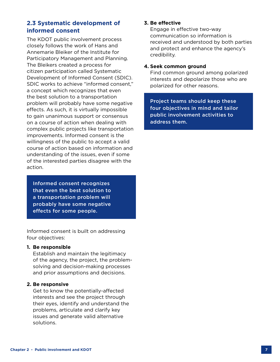## **2.3 Systematic development of informed consent**

The KDOT public involvement process closely follows the work of Hans and Annemarie Bleiker of the Institute for Participatory Management and Planning. The Bleikers created a process for citizen participation called Systematic Development of Informed Consent (SDIC). SDIC works to achieve "informed consent," a concept which recognizes that even the best solution to a transportation problem will probably have some negative effects. As such, it is virtually impossible to gain unanimous support or consensus on a course of action when dealing with complex public projects like transportation improvements. Informed consent is the willingness of the public to accept a valid course of action based on information and understanding of the issues, even if some of the interested parties disagree with the action.

Informed consent recognizes that even the best solution to a transportation problem will probably have some negative effects for some people.

Informed consent is built on addressing four objectives:

#### **1. Be responsible**

Establish and maintain the legitimacy of the agency, the project, the problemsolving and decision-making processes and prior assumptions and decisions.

#### **2. Be responsive**

Get to know the potentially-affected interests and see the project through their eyes, identify and understand the problems, articulate and clarify key issues and generate valid alternative solutions.

#### **3. Be effective**

Engage in effective two-way communication so information is received and understood by both parties and protect and enhance the agency's credibility.

#### **4. Seek common ground**

Find common ground among polarized interests and depolarize those who are polarized for other reasons.

Project teams should keep these four objectives in mind and tailor public involvement activities to address them.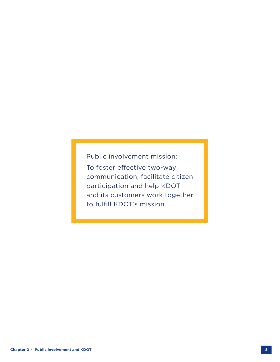Public involvement mission: To foster effective two-way communication, facilitate citizen participation and help KDOT and its customers work together to fulfill KDOT's mission.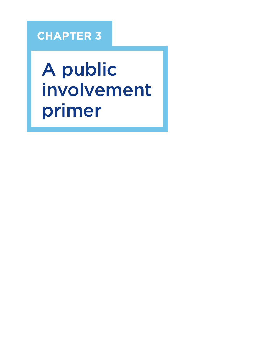## **CHAPTER 3**

A public involvement primer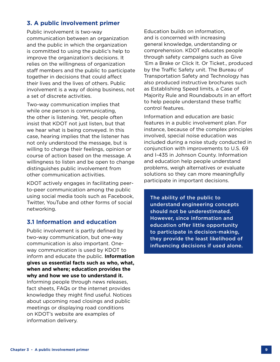## **3. A public involvement primer**

Public involvement is two-way communication between an organization and the public in which the organization is committed to using the public's help to improve the organization's decisions. It relies on the willingness of organization staff members and the public to participate together in decisions that could affect their lives and the lives of others. Public involvement is a way of doing business, not a set of discrete activities.

Two-way communication implies that while one person is communicating, the other is listening. Yet, people often insist that KDOT not just listen, but that we hear what is being conveyed. In this case, hearing implies that the listener has not only understood the message, but is willing to change their feelings, opinion or course of action based on the message. A willingness to listen and be open to change distinguishes public involvement from other communication activities.

KDOT actively engages in facilitating peerto-peer communication among the public using social media tools such as Facebook, Twitter, YouTube and other forms of social networking.

### **3.1 Information and education**

Public involvement is partly defined by two-way communication, but one-way communication is also important. Oneway communication is used by KDOT to inform and educate the public. **Information gives us essential facts such as who, what, when and where; education provides the why and how we use to understand it.** Informing people through news releases, fact sheets, FAQs or the internet provides knowledge they might find useful. Notices about upcoming road closings and public meetings or displaying road conditions on KDOT's website are examples of information delivery.

Education builds on information, and is concerned with increasing general knowledge, understanding or comprehension. KDOT educates people through safety campaigns such as Give 'Em a Brake or Click It. Or Ticket., produced by the Traffic Safety unit. The Bureau of Transportation Safety and Technology has also produced instructive brochures such as Establishing Speed limits, a Case of Majority Rule and Roundabouts in an effort to help people understand these traffic control features.

Information and education are basic features in a public involvement plan. For instance, because of the complex principles involved, special noise education was included during a noise study conducted in conjunction with improvements to U.S. 69 and I-435 in Johnson County. Information and education help people understand problems, weigh alternatives or evaluate solutions so they can more meaningfully participate in important decisions.

The ability of the public to understand engineering concepts should not be underestimated. However, since information and education offer little opportunity to participate in decision-making, they provide the least likelihood of influencing decisions if used alone.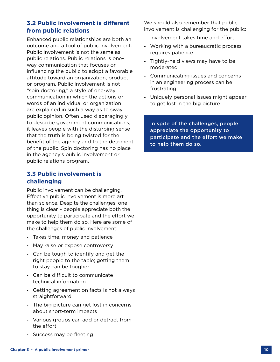## **3.2 Public involvement is different from public relations**

Enhanced public relationships are both an outcome and a tool of public involvement. Public involvement is not the same as public relations. Public relations is oneway communication that focuses on influencing the public to adopt a favorable attitude toward an organization, product or program. Public involvement is not "spin doctoring," a style of one-way communication in which the actions or words of an individual or organization are explained in such a way as to sway public opinion. Often used disparagingly to describe government communications, it leaves people with the disturbing sense that the truth is being twisted for the benefit of the agency and to the detriment of the public. Spin doctoring has no place in the agency's public involvement or public relations program.

## **3.3 Public involvement is challenging**

Public involvement can be challenging. Effective public involvement is more art than science. Despite the challenges, one thing is clear – people appreciate both the opportunity to participate and the effort we make to help them do so. Here are some of the challenges of public involvement:

- **-** Takes time, money and patience
- **-** May raise or expose controversy
- **-** Can be tough to identify and get the right people to the table; getting them to stay can be tougher
- **-** Can be difficult to communicate technical information
- **-** Getting agreement on facts is not always straightforward
- **-** The big picture can get lost in concerns about short-term impacts
- **-** Various groups can add or detract from the effort
- **-** Success may be fleeting

We should also remember that public involvement is challenging for the public:

- **-** Involvement takes time and effort
- **-** Working with a bureaucratic process requires patience
- **-** Tightly-held views may have to be moderated
- **-** Communicating issues and concerns in an engineering process can be frustrating
- **-** Uniquely personal issues might appear to get lost in the big picture

In spite of the challenges, people appreciate the opportunity to participate and the effort we make to help them do so.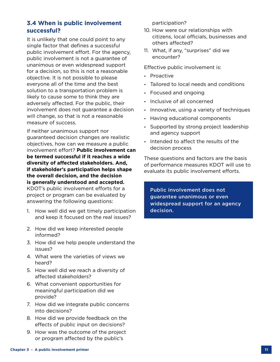## **3.4 When is public involvement successful?**

It is unlikely that one could point to any single factor that defines a successful public involvement effort. For the agency, public involvement is not a guarantee of unanimous or even widespread support for a decision, so this is not a reasonable objective. It is not possible to please everyone all of the time and the best solution to a transportation problem is likely to cause some to think they are adversely affected. For the public, their involvement does not guarantee a decision will change, so that is not a reasonable measure of success.

If neither unanimous support nor guaranteed decision changes are realistic objectives, how can we measure a public involvement effort? **Public involvement can be termed successful if it reaches a wide diversity of affected stakeholders. And, if stakeholder's participation helps shape the overall decision, and the decision is generally understood and accepted.**  KDOT's public involvement efforts for a project or program can be evaluated by answering the following questions:

- 1. How well did we get timely participation and keep it focused on the real issues?
- 2. How did we keep interested people informed?
- 3. How did we help people understand the issues?
- 4. What were the varieties of views we heard?
- 5. How well did we reach a diversity of affected stakeholders?
- 6. What convenient opportunities for meaningful participation did we provide?
- 7. How did we integrate public concerns into decisions?
- 8. How did we provide feedback on the effects of public input on decisions?
- 9. How was the outcome of the project or program affected by the public's

participation?

- 10. How were our relationships with citizens, local officials, businesses and others affected?
- 11. What, if any, "surprises" did we encounter?

Effective public involvement is:

- **-** Proactive
- **-** Tailored to local needs and conditions
- **-** Focused and ongoing
- **-** Inclusive of all concerned
- **-** Innovative, using a variety of techniques
- **-** Having educational components
- **-** Supported by strong project leadership and agency support
- **-** Intended to affect the results of the decision process

These questions and factors are the basis of performance measures KDOT will use to evaluate its public involvement efforts.

Public involvement does not guarantee unanimous or even widespread support for an agency decision.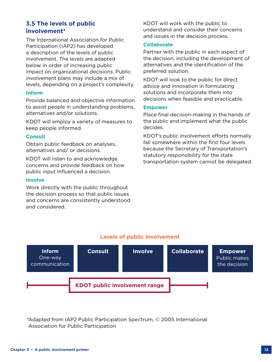## **3.5 The levels of public involvement\***

The International Association for Public Participation (IAP2) has developed a description of the levels of public involvement. The levels are adapted below in order of increasing public impact on organizational decisions. Public involvement plans may include a mix of levels, depending on a project's complexity.

#### **Inform**

Provide balanced and objective information to assist people in understanding problems, alternatives and/or solutions.

KDOT will employ a variety of measures to keep people informed.

#### **Consult**

Obtain public feedback on analyses, alternatives and/ or decisions.

KDOT will listen to and acknowledge concerns and provide feedback on how public input influenced a decision.

#### **Involve**

Work directly with the public throughout the decision process so that public issues and concerns are consistently understood and considered.

KDOT will work with the public to understand and consider their concerns and issues in the decision process.

#### **Collaborate**

Partner with the public in each aspect of the decision, including the development of alternatives and the identification of the preferred solution.

KDOT will look to the public for direct advice and innovation in formulating solutions and incorporate them into decisions when feasible and practicable.

#### **Empower**

Place final decision-making in the hands of the public and implement what the public decides.

KDOT's public involvement efforts normally fall somewhere within the first four levels because the Secretary of Transportation's statutory responsibility for the state transportation system cannot be delegated.



### **Levels of public involvement**

\*Adapted from IAP2 Public Participation Spectrum, © 2005 International Association for Public Participation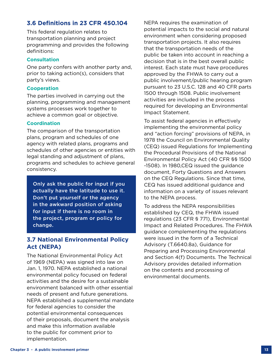## **3.6 Definitions in 23 CFR 450.104**

This federal regulation relates to transportation planning and project programming and provides the following definitions:

#### **Consultation**

One party confers with another party and, prior to taking action(s), considers that party's views.

#### **Cooperation**

The parties involved in carrying out the planning, programming and management systems processes work together to achieve a common goal or objective.

#### **Coordination**

The comparison of the transportation plans, program and schedules of one agency with related plans, programs and schedules of other agencies or entities with legal standing and adjustment of plans, programs and schedules to achieve general consistency.

Only ask the public for input if you actually have the latitude to use it. Don't put yourself or the agency in the awkward position of asking for input if there is no room in the project, program or policy for change.

## **3.7 National Environmental Policy Act (NEPA)**

The National Environmental Policy Act of 1969 (NEPA) was signed into law on Jan. 1, 1970. NEPA established a national environmental policy focused on federal activities and the desire for a sustainable environment balanced with other essential needs of present and future generations. NEPA established a supplemental mandate for federal agencies to consider the potential environmental consequences of their proposals, document the analysis and make this information available to the public for comment prior to implementation.

NEPA requires the examination of potential impacts to the social and natural environment when considering proposed transportation projects. It also requires that the transportation needs of the public be taken into account in reaching a decision that is in the best overall public interest. Each state must have procedures approved by the FHWA to carry out a public involvement/public hearing program pursuant to 23 U.S.C. 128 and 40 CFR parts 1500 through 1508. Public involvement activities are included in the process required for developing an Environmental Impact Statement.

To assist federal agencies in effectively implementing the environmental policy and "action forcing" provisions of NEPA, in 1978 the Council on Environmental Quality (CEQ) issued Regulations for Implementing the Procedural Provisions of the National Environmental Policy Act (40 CFR §§ 1500 -1508). In 1980,CEQ issued the guidance document, Forty Questions and Answers on the CEQ Regulations. Since that time, CEQ has issued additional guidance and information on a variety of issues relevant to the NEPA process.

To address the NEPA responsibilities established by CEQ, the FHWA issued regulations (23 CFR § 771), Environmental Impact and Related Procedures. The FHWA guidance complementing the regulations were issued in the form of a Technical Advisory (T.6640.8a), Guidance for Preparing and Processing Environmental and Section 4(f) Documents. The Technical Advisory provides detailed information on the contents and processing of environmental documents.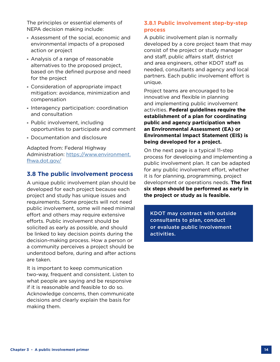The principles or essential elements of NEPA decision making include:

- **-** Assessment of the social, economic and environmental impacts of a proposed action or project
- **-** Analysis of a range of reasonable alternatives to the proposed project, based on the defined purpose and need for the project
- **-** Consideration of appropriate impact mitigation: avoidance, minimization and compensation
- **-** Interagency participation: coordination and consultation
- **-** Public involvement, including opportunities to participate and comment
- **-** Documentation and disclosure

Adapted from: Federal Highway Administration: [https://www.environment.](https://www.environment.fhwa.dot.gov/) [fhwa.dot.gov/](https://www.environment.fhwa.dot.gov/)

#### **3.8 The public involvement process**

A unique public involvement plan should be developed for each project because each project and study has unique issues and requirements. Some projects will not need public involvement, some will need minimal effort and others may require extensive efforts. Public involvement should be solicited as early as possible, and should be linked to key decision points during the decision-making process. How a person or a community perceives a project should be understood before, during and after actions are taken.

It is important to keep communication two-way, frequent and consistent. Listen to what people are saying and be responsive if it is reasonable and feasible to do so. Acknowledge concerns, then communicate decisions and clearly explain the basis for making them.

#### **3.8.1 Public involvement step-by-step process**

A public involvement plan is normally developed by a core project team that may consist of the project or study manager and staff, public affairs staff, district and area engineers, other KDOT staff as needed, consultants and agency and local partners. Each public involvement effort is unique.

Project teams are encouraged to be innovative and flexible in planning and implementing public involvement activities. **Federal guidelines require the establishment of a plan for coordinating public and agency participation when an Environmental Assessment (EA) or Environmental Impact Statement (EIS) is being developed for a project.**

On the next page is a typical 11-step process for developing and implementing a public involvement plan. It can be adapted for any public involvement effort, whether it is for planning, programming, project development or operations needs. **The first six steps should be performed as early in the project or study as is feasible.**

KDOT may contract with outside consultants to plan, conduct or evaluate public involvement activities.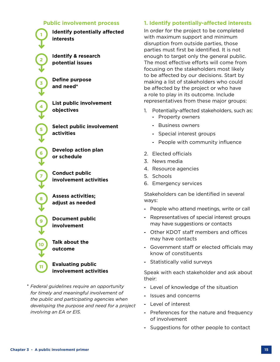## **Public involvement process <sup>1</sup> Identify potentially affected interests <sup>2</sup> Identify & research**

**potential issues**

**<sup>3</sup> Define purpose and need\***

**<sup>4</sup> List public involvement objectives**

**<sup>5</sup> Select public involvement activities**

**<sup>6</sup> Develop action plan or schedule**

**<sup>7</sup> Conduct public involvement activities**

**<sup>8</sup> Assess activities; adjust as needed**

**<sup>9</sup> Document public involvement**

**Talk about the outcome**

#### **Evaluating public involvement activities**

\* *Federal guidelines require an opportunity for timely and meaningful involvement of the public and participating agencies when developing the purpose and need for a project involving an EA or EIS.*

## **1. Identify potentially-affected interests**

In order for the project to be completed with maximum support and minimum disruption from outside parties, those parties must first be identified. It is not enough to target only the general public. The most effective efforts will come from focusing on the stakeholders most likely to be affected by our decisions. Start by making a list of stakeholders who could be affected by the project or who have a role to play in its outcome. Include representatives from these major groups:

- 1. Potentially-affected stakeholders, such as:
	- **-** Property owners
	- **-** Business owners
	- **-** Special interest groups
	- **-** People with community influence
- 2. Elected officials
- 3. News media
- 4. Resource agencies
- 5. Schools
- 6. Emergency services

Stakeholders can be identified in several ways:

- **-** People who attend meetings, write or call
- **-** Representatives of special interest groups may have suggestions or contacts
- **-** Other KDOT staff members and offices may have contacts
- **-** Government staff or elected officials may know of constituents
- **-** Statistically valid surveys

Speak with each stakeholder and ask about their:

- **-** Level of knowledge of the situation
- **-** Issues and concerns
- **-** Level of interest
- **-** Preferences for the nature and frequency of involvement
- **-** Suggestions for other people to contact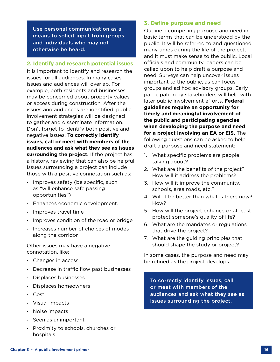Use personal communication as a means to solicit input from groups and individuals who may not otherwise be heard.

#### **2. Identify and research potential issues**

It is important to identify and research the issues for all audiences. In many cases, issues and audiences will overlap. For example, both residents and businesses may be concerned about property values or access during construction. After the issues and audiences are identified, public involvement strategies will be designed to gather and disseminate information. Don't forget to identify both positive and negative issues. **To correctly identify issues, call or meet with members of the audiences and ask what they see as issues surrounding the project.** If the project has a history, reviewing that can also be helpful. Issues surrounding a project can include those with a positive connotation such as:

- **-** Improves safety (be specific, such as "will enhance safe passing opportunities")
- **-** Enhances economic development.
- **-** Improves travel time
- **-** Improves condition of the road or bridge
- **-** Increases number of choices of modes along the corridor

Other issues may have a negative connotation, like:

- **-** Changes in access
- **-** Decrease in traffic flow past businesses
- **-** Displaces businesses
- **-** Displaces homeowners
- **-** Cost
- **-** Visual impacts
- **-** Noise impacts
- **-** Seen as unimportant
- **-** Proximity to schools, churches or hospitals

#### **3. Define purpose and need**

Outline a compelling purpose and need in basic terms that can be understood by the public. It will be referred to and questioned many times during the life of the project, and it must make sense to the public. Local officials and community leaders can be called upon to help draft a purpose and need. Surveys can help uncover issues important to the public, as can focus groups and ad hoc advisory groups. Early participation by stakeholders will help with later public involvement efforts. **Federal guidelines require an opportunity for timely and meaningful involvement of the public and participating agencies when developing the purpose and need for a project involving an EA or EIS.** The following questions can be asked to help draft a purpose and need statement:

- 1. What specific problems are people talking about?
- 2. What are the benefits of the project? How will it address the problems?
- 3. How will it improve the community, schools, area roads, etc.?
- 4. Will it be better than what is there now? How?
- 5. How will the project enhance or at least protect someone's quality of life?
- 6. What are the mandates or regulations that drive the project?
- 7. What are the guiding principles that should shape the study or project?

In some cases, the purpose and need may be refined as the project develops.

To correctly identify issues, call or meet with members of the audiences and ask what they see as issues surrounding the project.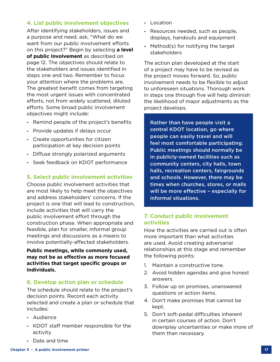#### **4. List public involvement objectives**

After identifying stakeholders, issues and a purpose and need, ask, "What do we want from our public involvement efforts on this project?" Begin by selecting **a level of public Involvement** as described on page 12. The objectives should relate to the stakeholders and issues identified in steps one and two. Remember to focus your attention where the problems are. The greatest benefit comes from targeting the most urgent issues with concentrated efforts, not from widely scattered, diluted efforts. Some broad public involvement objectives might include:

- **-** Remind people of the project's benefits
- **-** Provide updates if delays occur
- **-** Create opportunities for citizen participation at key decision points
- **-** Diffuse strongly polarized arguments
- **-** Seek feedback on KDOT performance

#### **5. Select public involvement activities**

Choose public involvement activities that are most likely to help meet the objectives and address stakeholders' concerns. If the project is one that will lead to construction, include activities that will carry the public involvement effort through the construction phase. When appropriate and feasible, plan for smaller, informal group meetings and discussions as a means to involve potentially-affected stakeholders.

#### **Public meetings, while commonly used, may not be as effective as more focused activities that target specific groups or individuals.**

#### **6. Develop action plan or schedule**

The schedule should relate to the project's decision points. Record each activity selected and create a plan or schedule that includes:

- **-** Audience
- **-** KDOT staff member responsible for the activity
- **-** Location
- **-** Resources needed, such as people, displays, handouts and equipment
- **-** Method(s) for notifying the target stakeholders

The action plan developed at the start of a project may have to be revised as the project moves forward. So, public involvement needs to be flexible to adjust to unforeseen situations. Thorough work in steps one through five will help diminish the likelihood of major adjustments as the project develops.

Rather than have people visit a central KDOT location, go where people can easily travel and will feel most comfortable participating. Public meetings should normally be in publicly-owned facilities such as community centers, city halls, town halls, recreation centers, fairgrounds and schools. However, there may be times when churches, stores, or malls will be more effective – especially for informal situations.

#### **7. Conduct public involvement activities**

How the activities are carried out is often more important than what activities are used. Avoid creating adversarial relationships at this stage and remember the following points:

- 1. Maintain a constructive tone.
- 2. Avoid hidden agendas and give honest answers.
- 3. Follow up on promises, unanswered questions or action items.
- 4. Don't make promises that cannot be kept.
- 5. Don't soft-pedal difficulties inherent in certain courses of action. Don't downplay uncertainties or make more of them than necessary.

**-** Date and time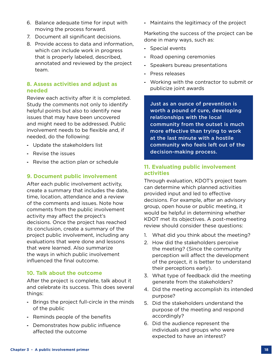- 6. Balance adequate time for input with moving the process forward.
- 7. Document all significant decisions.
- 8. Provide access to data and information, which can include work in progress that is properly labeled, described, annotated and reviewed by the project team.

#### **8. Assess activities and adjust as needed**

Review each activity after it is completed. Study the comments not only to identify helpful points but also to identify new issues that may have been uncovered and might need to be addressed. Public involvement needs to be flexible and, if needed, do the following:

- **-** Update the stakeholders list
- **-** Revise the issues
- **-** Revise the action plan or schedule

#### **9. Document public involvement**

After each public involvement activity, create a summary that includes the date, time, location, attendance and a review of the comments and issues. Note how comments from the public involvement activity may affect the project's decisions. Once the project has reached its conclusion, create a summary of the project public involvement, including any evaluations that were done and lessons that were learned. Also summarize the ways in which public involvement influenced the final outcome.

#### **10. Talk about the outcome**

After the project is complete, talk about it and celebrate its success. This does several things:

- **-** Brings the project full-circle in the minds of the public
- **-** Reminds people of the benefits
- **-** Demonstrates how public influence affected the outcome

**-** Maintains the legitimacy of the project

Marketing the success of the project can be done in many ways, such as:

- **-** Special events
- **-** Road opening ceremonies
- **-** Speakers bureau presentations
- **-** Press releases
- **-** Working with the contractor to submit or publicize joint awards

Just as an ounce of prevention is worth a pound of cure, developing relationships with the local community from the outset is much more effective than trying to work at the last minute with a hostile community who feels left out of the decision-making process.

#### **11. Evaluating public involvement activities**

Through evaluation, KDOT's project team can determine which planned activities provided input and led to effective decisions. For example, after an advisory group, open house or public meeting, it would be helpful in determining whether KDOT met its objectives. A post-meeting review should consider these questions:

- 1. What did you think about the meeting?
- 2. How did the stakeholders perceive the meeting? (Since the community perception will affect the development of the project, it is better to understand their perceptions early).
- 3. What type of feedback did the meeting generate from the stakeholders?
- 4. Did the meeting accomplish its intended purpose?
- 5. Did the stakeholders understand the purpose of the meeting and respond accordingly?
- 6. Did the audience represent the individuals and groups who were expected to have an interest?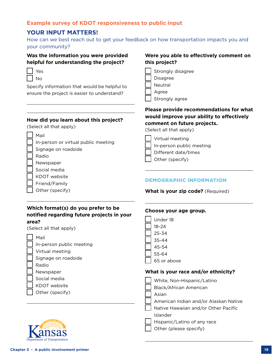#### **Example survey of KDOT responsiveness to public input**

## **YOUR INPUT MATTERS!**

How can we best reach out to get your feedback on how transportation impacts you and your community?

#### **Was the information you were provided helpful for understanding the project?**

| I | s |
|---|---|
| I |   |

Specify information that would be helpful to ensure the project is easier to understand?

#### **How did you learn about this project?**

(Select all that apply)

|  | ı<br>. .<br>× |
|--|---------------|
|--|---------------|

- In-person or virtual public meeting
- Signage on roadside
- Radio
- Newspaper
- Social media
- KDOT website
- Friend/Family
- Other (specify)

#### **Were you able to effectively comment on this project?**

- Strongly disagree Disagree Neutral
- Agree
- Strongly agree

#### **Please provide recommendations for what would improve your ability to effectively comment on future projects.**

(Select all that apply)

- Virtual meeting In-person public meeting
- Different date/times
- Other (specify)

#### DEMOGRAPHIC INFORMATION

**What is your zip code?** (Required)

#### **Which format(s) do you prefer to be notified regarding future projects in your area?**

(Select all that apply)

Mail

- In-person public meeting
- Virtual meeting

Signage on roadside

- Radio
- Newspaper
- Social media
- KDOT website
- Other (specify)

| Under 18    |
|-------------|
| $18 - 24$   |
| 25-34       |
| $35 - 44$   |
| $45 - 54$   |
| $55 - 64$   |
| 65 or above |
|             |

**Choose your age group.**

#### **What is your race and/or ethnicity?**

- White, Non-Hispanic/Latino
- Black/African American

Asian

American Indian and/or Alaskan Native

Native Hawaiian and/or Other Pacific

Islander

Hispanic/Latino of any race

Other (please specify)

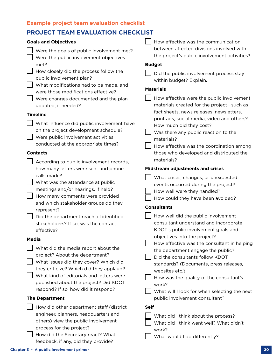## **Example project team evaluation checklist**

## **PROJECT TEAM EVALUATION CHECKLIST**

| <b>Goals and Objectives</b>                                                       | How effective was the communication                                          |
|-----------------------------------------------------------------------------------|------------------------------------------------------------------------------|
| Were the goals of public involvement met?                                         | between affected divisions involved with                                     |
| Were the public involvement objectives                                            | the project's public involvement activities?                                 |
| met?<br>How closely did the process follow the                                    | <b>Budget</b>                                                                |
| public involvement plan?                                                          | Did the public involvement process stay<br>within budget? Explain.           |
| What modifications had to be made, and                                            | <b>Materials</b>                                                             |
| were those modifications effective?<br>Were changes documented and the plan       | How effective were the public involvement                                    |
| updated, if needed?                                                               | materials created for the project-such as                                    |
| <b>Timeline</b>                                                                   | fact sheets, news releases, newsletters,                                     |
| What influence did public involvement have                                        | print ads, social media, video and others?<br>How much did they cost?        |
| on the project development schedule?                                              | Was there any public reaction to the                                         |
| Were public involvement activities                                                | materials?                                                                   |
| conducted at the appropriate times?                                               | How effective was the coordination among                                     |
| <b>Contacts</b>                                                                   | those who developed and distributed the<br>materials?                        |
| According to public involvement records,<br>how many letters were sent and phone  | <b>Midstream adjustments and crises</b>                                      |
| calls made?                                                                       | What crises, changes, or unexpected                                          |
| What was the attendance at public                                                 | events occurred during the project?                                          |
| meetings and/or hearings, if held?                                                | How well were they handled?                                                  |
| How many comments were provided<br>and which stakeholder groups do they           | How could they have been avoided?                                            |
| represent?                                                                        | <b>Consultants</b>                                                           |
| Did the department reach all identified                                           | How well did the public involvement                                          |
| stakeholders? If so, was the contact<br>effective?                                | consultant understand and incorporate<br>KDOT's public involvement goals and |
|                                                                                   | objectives into the project?                                                 |
| Media                                                                             | Г. —<br>How effective was the consultant in helping                          |
| What did the media report about the<br>project? About the department?             | the department engage the public?<br>Did the consultants follow KDOT         |
| What issues did they cover? Which did                                             | standards? (Documents, press releases,                                       |
| they criticize? Which did they applaud?                                           | websites etc.)                                                               |
| What kind of editorials and letters were<br>published about the project? Did KDOT | How was the quality of the consultant's                                      |
| respond? If so, how did it respond?                                               | work?<br>What will I look for when selecting the next                        |
| <b>The Department</b>                                                             | public involvement consultant?                                               |
| How did other department staff (district                                          | <b>Self</b>                                                                  |
| engineer, planners, headquarters and                                              | What did I think about the process?                                          |
| others) view the public involvement                                               | What did I think went well? What didn't                                      |
| process for the project?<br>How did the Secretary react? What                     | work?                                                                        |
| feedback, if any, did they provide?                                               | What would I do differently?                                                 |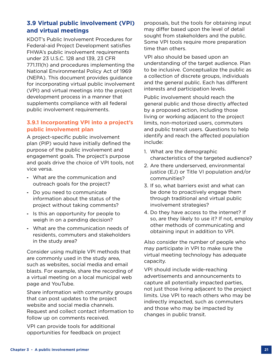## **3.9 Virtual public involvement (VPI) and virtual meetings**

KDOT's Public Involvement Procedures for Federal-aid Project Development satisfies FHWA's public involvement requirements under 23 U.S.C. 128 and 139, 23 CFR 771.111(h) and procedures implementing the National Environmental Policy Act of 1969 (NEPA). This document provides guidance for incorporating virtual public involvement (VPI) and virtual meetings into the project development process in a manner that supplements compliance with all federal public involvement requirements.

## **3.9.1 Incorporating VPI into a project's public involvement plan**

A project-specific public involvement plan (PIP) would have initially defined the purpose of the public involvement and engagement goals. The project's purpose and goals drive the choice of VPI tools, not vice versa.

- **-** What are the communication and outreach goals for the project?
- **-** Do you need to communicate information about the status of the project without taking comments?
- **-** Is this an opportunity for people to weigh in on a pending decision?
- **-** What are the communication needs of residents, commuters and stakeholders in the study area?

Consider using multiple VPI methods that are commonly used in the study area, such as websites, social media and email blasts. For example, share the recording of a virtual meeting on a local municipal web page and YouTube.

Share information with community groups that can post updates to the project website and social media channels. Request and collect contact information to follow up on comments received.

VPI can provide tools for additional opportunities for feedback on project proposals, but the tools for obtaining input may differ based upon the level of detail sought from stakeholders and the public. Some VPI tools require more preparation time than others.

VPI also should be based upon an understanding of the target audience. Plan to be inclusive. Conceptualize the public as a collection of discrete groups, individuals and the general public. Each has different interests and participation levels.

Public involvement should reach the general public and those directly affected by a proposed action, including those living or working adjacent to the project limits, non-motorized users, commuters and public transit users. Questions to help identify and reach the affected population include:

- 1. What are the demographic characteristics of the targeted audience?
- 2. Are there underserved, environmental justice (EJ) or Title VI population and/or communities?
- 3. If so, what barriers exist and what can be done to proactively engage them through traditional and virtual public involvement strategies?
- 4. Do they have access to the internet? If so, are they likely to use it? If not, employ other methods of communicating and obtaining input in addition to VPI.

Also consider the number of people who may participate in VPI to make sure the virtual meeting technology has adequate capacity.

VPI should include wide-reaching advertisements and announcements to capture all potentially impacted parties, not just those living adjacent to the project limits. Use VPI to reach others who may be indirectly impacted, such as commuters and those who may be impacted by changes in public transit.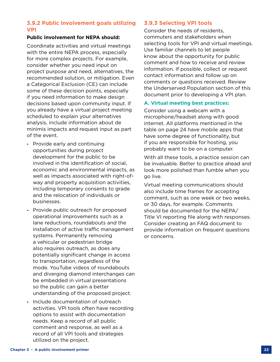#### **3.9.2 Public involvement goals utilizing VPI**

#### **Public involvement for NEPA should:**

Coordinate activities and virtual meetings with the entire NEPA process, especially for more complex projects. For example, consider whether you need input on project purpose and need, alternatives, the recommended solution, or mitigation. Even a Categorical Exclusion (CE) can include some of these decision points, especially if you need information to make design decisions based upon community input. If you already have a virtual project meeting scheduled to explain your alternatives analysis, include information about de minimis impacts and request input as part of the event.

- **-** Provide early and continuing opportunities during project development for the public to be involved in the identification of social, economic and environmental impacts, as well as impacts associated with right-ofway and property acquisition activities, including temporary consents to grade and the relocation of individuals or businesses.
- **-** Provide public outreach for proposed operational improvements such as a lane reductions, roundabouts and the installation of active traffic management systems. Permanently removing a vehicular or pedestrian bridge also requires outreach, as does any potentially significant change in access to transportation, regardless of the mode. YouTube videos of roundabouts and diverging diamond interchanges can be embedded in virtual presentations so the public can gain a better understanding of the proposed project.
- **-** Include documentation of outreach activities. VPI tools often have recording options to assist with documentation needs. Keep a record of all public comment and response, as well as a record of all VPI tools and strategies utilized on the project.

#### **3.9.3 Selecting VPI tools**

Consider the needs of residents, commuters and stakeholders when selecting tools for VPI and virtual meetings. Use familiar channels to let people know about the opportunity for public comment and how to receive and review information. If possible, collect or request contact information and follow up on comments or questions received. Review the Underserved Population section of this document prior to developing a VPI plan.

#### **A. Virtual meeting best practices:**

Consider using a webcam with a microphone/headset along with good internet. All platforms mentioned in the table on page 24 have mobile apps that have some degree of functionality, but if you are responsible for hosting, you probably want to be on a computer.

With all these tools, a practice session can be invaluable. Better to practice ahead and look more polished than fumble when you go live.

Virtual meeting communications should also include time frames for accepting comment, such as one week or two weeks, or 30 days, for example. Comments should be documented for the NEPA/ Title VI reporting file along with responses. Consider creating an FAQ document to provide information on frequent questions or concerns.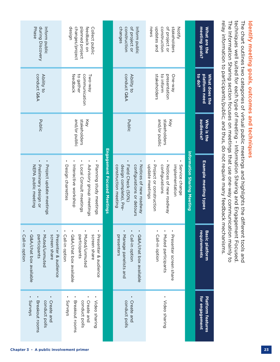|                                                                                |                                                      |                                      | relay information to participants/public; and thus, do not require many feedback mechanisms.                                             |                                                                                                                                       |                                                                                               |
|--------------------------------------------------------------------------------|------------------------------------------------------|--------------------------------------|------------------------------------------------------------------------------------------------------------------------------------------|---------------------------------------------------------------------------------------------------------------------------------------|-----------------------------------------------------------------------------------------------|
| meeting goals?<br>What are the                                                 | to do?<br>platform need<br>What does the             | audience?<br>Who is the              | Example meeting types                                                                                                                    | requirements<br><b>Basic platform</b>                                                                                                 | for engagement<br>Platform features                                                           |
|                                                                                |                                                      |                                      | information Sharing Meeting                                                                                                              |                                                                                                                                       |                                                                                               |
| updates and<br>of project or<br>construction<br>stakeholders<br>news<br>Notify | stakeholders<br>to inform<br>presentation<br>One-way | and/or public<br>stakeholders<br>Key | ×<br>Notices of new roadway<br>Service change<br>implementation<br>update meetings<br>Project or construction<br>configurations          | ٠<br>٠<br>Call-in option<br>Muted participants<br>Presenter screen share                                                              | ٠<br>Video sharing                                                                            |
| of project or<br>changes<br>construction<br>Inform public                      | conduct Q&A<br>Ability to                            | Public                               | Notices of hew roadway<br>Field Check (50%)<br>configurations or detours<br>design complete), Pre-<br>construction meeting               | $\blacksquare$<br>٠<br>٠<br>Q&A/chat box available<br>Call-in option<br>Manage panelists and<br>presenters                            | ٠<br>Create and<br>conduct polls                                                              |
|                                                                                |                                                      |                                      | <b>Engagement Focused Meetings</b>                                                                                                       |                                                                                                                                       |                                                                                               |
| design<br>changes/project<br>planned project<br>feedback on<br>Collect public  | feedback<br>communication<br>to gather<br>Two-way    | stakeholders<br>and/or public<br>Key | ٠<br>×<br>٠<br>Planning study meetings<br>Local Consult meetings<br>Advisory group meetings<br>Interactive workshop<br>Design charrettes | ٠<br>٠<br>٠<br>٠<br>Muted/unmuted<br>screen share<br>Call-in option<br>Q&A/chat box available<br>participants<br>Presenter & audience | ×<br>×<br>٠<br>٠<br>Create and<br>Syrveys<br>Breakout rooms<br>conduct polls<br>Video sharing |
|                                                                                | conduct Q&A<br>Ability to                            | Public                               | ı<br>Project update meetings<br>Preliminary design or<br>NEPA public meeting                                                             | п<br>п<br>٠<br>٠<br>Presenter & audience<br>Q&A/chat box available<br>Muted/unmuted<br>screen share<br>Call-in option<br>participants | ٠<br>٠<br>Create and<br>Syrveys<br>Breakout rooms<br>conduct polls                            |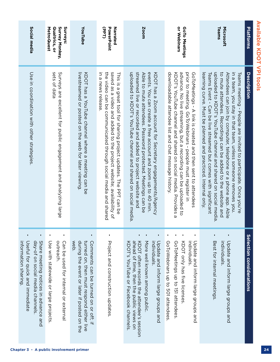|                                                                | Surveys:<br>MetroQuest<br>Qualtrics, or<br>Survey Monkey,<br>YouTube<br><b>PowerPoint</b><br>Narrated<br>or Webinars<br>GoTo Meetings<br>sets of data<br>in a news release<br>streamed live or recorded and added to project website and<br>events. You can create a free account and zoom up to 40 min.<br>KDOT has a Zoom account for Secretary engagements/Agency<br>downloadable attendee list and chat message history<br>advance. No live streaming, but a recording can be uploaded to<br>prior to meeting. GoToWebinars - people must register in<br>GoToMeetings - A link is created and then sent to attendees<br>Able to mute attendees. Password protected. Meetings can be<br>KDOT's YouTube channel and shared on social media. Provides a |
|----------------------------------------------------------------|----------------------------------------------------------------------------------------------------------------------------------------------------------------------------------------------------------------------------------------------------------------------------------------------------------------------------------------------------------------------------------------------------------------------------------------------------------------------------------------------------------------------------------------------------------------------------------------------------------------------------------------------------------------------------------------------------------------------------------------------------------|
| uploaded to KDOT's YouTube channel and shared on social media. | saved as a video and added to the project website; availability of<br>the video can be communicated through social media and shared<br>livestreamed or posted on the web for later viewing.<br>KDOT has a YouTube channel where a meeting can be<br>This is a great tool for sharing project updates. The PPT can be                                                                                                                                                                                                                                                                                                                                                                                                                                     |
|                                                                | Surveys are excellent for public engagement and analyzing large                                                                                                                                                                                                                                                                                                                                                                                                                                                                                                                                                                                                                                                                                          |
|                                                                |                                                                                                                                                                                                                                                                                                                                                                                                                                                                                                                                                                                                                                                                                                                                                          |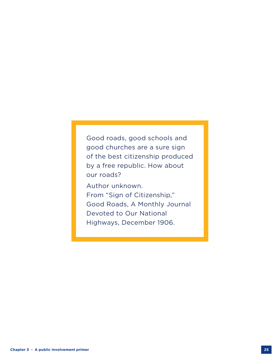Good roads, good schools and good churches are a sure sign of the best citizenship produced by a free republic. How about our roads?

Author unknown. From "Sign of Citizenship," Good Roads, A Monthly Journal Devoted to Our National Highways, December 1906.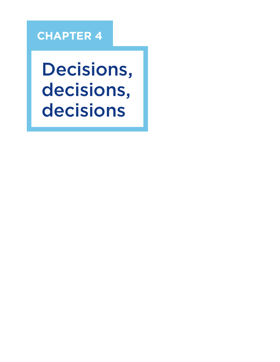# **CHAPTER 4**

Decisions, decisions, decisions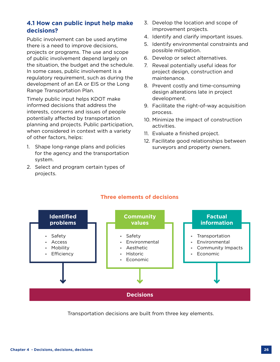# **4.1 How can public input help make decisions?**

Public involvement can be used anytime there is a need to improve decisions, projects or programs. The use and scope of public involvement depend largely on the situation, the budget and the schedule. In some cases, public involvement is a regulatory requirement, such as during the development of an EA or EIS or the Long Range Transportation Plan.

Timely public input helps KDOT make informed decisions that address the interests, concerns and issues of people potentially affected by transportation planning and projects. Public participation, when considered in context with a variety of other factors, helps:

- 1. Shape long-range plans and policies for the agency and the transportation system.
- 2. Select and program certain types of projects.
- 3. Develop the location and scope of improvement projects.
- 4. Identify and clarify important issues.
- 5. Identify environmental constraints and possible mitigation.
- 6. Develop or select alternatives.
- 7. Reveal potentially useful ideas for project design, construction and maintenance.
- 8. Prevent costly and time-consuming design alterations late in project development.
- 9. Facilitate the right-of-way acquisition process.
- 10. Minimize the impact of construction activities.
- 11. Evaluate a finished project.
- 12. Facilitate good relationships between surveyors and property owners.





Transportation decisions are built from three key elements.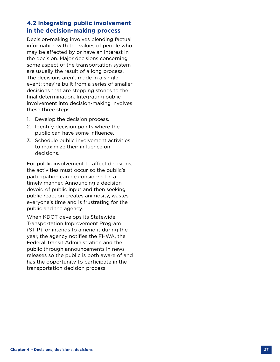# **4.2 Integrating public involvement in the decision-making process**

Decision-making involves blending factual information with the values of people who may be affected by or have an interest in the decision. Major decisions concerning some aspect of the transportation system are usually the result of a long process. The decisions aren't made in a single event; they're built from a series of smaller decisions that are stepping stones to the final determination. Integrating public involvement into decision-making involves these three steps:

- 1. Develop the decision process.
- 2. Identify decision points where the public can have some influence.
- 3. Schedule public involvement activities to maximize their influence on decisions.

For public involvement to affect decisions, the activities must occur so the public's participation can be considered in a timely manner. Announcing a decision devoid of public input and then seeking public reaction creates animosity, wastes everyone's time and is frustrating for the public and the agency.

When KDOT develops its Statewide Transportation Improvement Program (STIP), or intends to amend it during the year, the agency notifies the FHWA, the Federal Transit Administration and the public through announcements in news releases so the public is both aware of and has the opportunity to participate in the transportation decision process.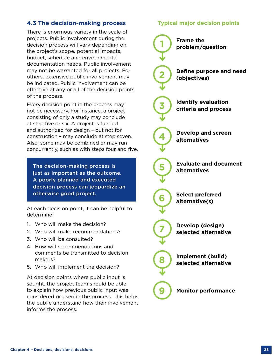# **4.3 The decision-making process**

There is enormous variety in the scale of projects. Public involvement during the decision process will vary depending on the project's scope, potential impacts, budget, schedule and environmental documentation needs. Public involvement may not be warranted for all projects. For others, extensive public involvement may be indicated. Public involvement can be effective at any or all of the decision points of the process.

Every decision point in the process may not be necessary. For instance, a project consisting of only a study may conclude at step five or six. A project is funded and authorized for design – but not for construction – may conclude at step seven. Also, some may be combined or may run concurrently, such as with steps four and five.

The decision-making process is just as important as the outcome. A poorly planned and executed decision process can jeopardize an otherwise good project.

At each decision point, it can be helpful to determine:

- 1. Who will make the decision?
- 2. Who will make recommendations?
- 3. Who will be consulted?
- 4. How will recommendations and comments be transmitted to decision makers?
- 5. Who will implement the decision?

At decision points where public input is sought, the project team should be able to explain how previous public input was considered or used in the process. This helps the public understand how their involvement informs the process.

# **Typical major decision points**

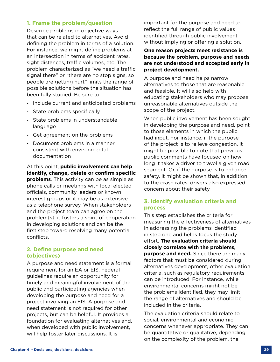#### **1. Frame the problem/question**

Describe problems in objective ways that can be related to alternatives. Avoid defining the problem in terms of a solution. For instance, we might define problems at an intersection in terms of accident rates, sight distances, traffic volumes, etc. The problem characterized as "we need a traffic signal there" or "there are no stop signs, so people are getting hurt" limits the range of possible solutions before the situation has been fully studied. Be sure to:

- **-** Include current and anticipated problems
- **-** State problems specifically
- **-** State problems in understandable language
- **-** Get agreement on the problems
- **-** Document problems in a manner consistent with environmental documentation

At this point, **public involvement can help identify, change, delete or confirm specific problems**. This activity can be as simple as phone calls or meetings with local elected officials, community leaders or known interest groups or it may be as extensive as a telephone survey. When stakeholders and the project team can agree on the problem(s), it fosters a spirit of cooperation in developing solutions and can be the first step toward resolving many potential conflicts.

#### **2. Define purpose and need (objectives)**

A purpose and need statement is a formal requirement for an EA or EIS. Federal guidelines require an opportunity for timely and meaningful involvement of the public and participating agencies when developing the purpose and need for a project involving an EIS. A purpose and need statement is not required for other projects, but can be helpful. It provides a foundation for evaluating alternatives and, when developed with public involvement, will help foster later discussions. It is

important for the purpose and need to reflect the full range of public values identified through public involvement without implying or offering a solution.

#### **One reason projects meet resistance is because the problem, purpose and needs are not understood and accepted early in project development.**

A purpose and need helps narrow alternatives to those that are reasonable and feasible. It will also help with educating stakeholders who may propose unreasonable alternatives outside the scope of the project.

When public involvement has been sought in developing the purpose and need, point to those elements in which the public had input. For instance, if the purpose of the project is to relieve congestion, it might be possible to note that previous public comments have focused on how long it takes a driver to travel a given road segment. Or, if the purpose is to enhance safety, it might be shown that, in addition to the crash rates, drivers also expressed concern about their safety.

# **3. Identify evaluation criteria and process**

This step establishes the criteria for measuring the effectiveness of alternatives in addressing the problems identified in step one and helps focus the study effort. **The evaluation criteria should closely correlate with the problems, purpose and need.** Since there are many factors that must be considered during alternatives development, other evaluation criteria, such as regulatory requirements, can be introduced. For instance, while environmental concerns might not be the problems identified, they may limit the range of alternatives and should be included in the criteria.

The evaluation criteria should relate to social, environmental and economic concerns whenever appropriate. They can be quantitative or qualitative, depending on the complexity of the problem, the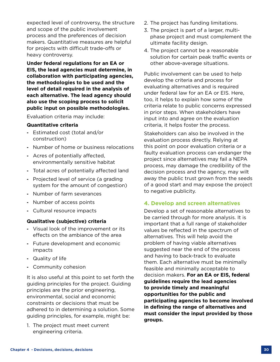expected level of controversy, the structure and scope of the public involvement process and the preferences of decision makers. Quantitative measures are helpful for projects with difficult trade-offs or heavy controversy.

**Under federal regulations for an EA or EIS, the lead agencies must determine, in collaboration with participating agencies, the methodologies to be used and the level of detail required in the analysis of each alternative. The lead agency should also use the scoping process to solicit public input on possible methodologies.**

Evaluation criteria may include:

#### **Quantitative criteria**

- **-** Estimated cost (total and/or construction)
- **-** Number of home or business relocations
- **-** Acres of potentially affected, environmentally sensitive habitat
- **-** Total acres of potentially affected land
- **-** Projected level of service (a grading system for the amount of congestion)
- **-** Number of farm severances
- **-** Number of access points
- **-** Cultural resource impacts

#### **Qualitative (subjective) criteria**

- **-** Visual look of the improvement or its effects on the ambiance of the area
- **-** Future development and economic impacts
- **-** Quality of life
- **-** Community cohesion

It is also useful at this point to set forth the guiding principles for the project. Guiding principles are the prior engineering, environmental, social and economic constraints or decisions that must be adhered to in determining a solution. Some guiding principles, for example, might be:

1. The project must meet current engineering criteria.

- 2. The project has funding limitations.
- 3. The project is part of a larger, multiphase project and must complement the ultimate facility design.
- 4. The project cannot be a reasonable solution for certain peak traffic events or other above-average situations.

Public involvement can be used to help develop the criteria and process for evaluating alternatives and is required under federal law for an EA or EIS. Here, too, it helps to explain how some of the criteria relate to public concerns expressed in prior steps. When stakeholders have input into and agree on the evaluation criteria, it helps foster the process.

Stakeholders can also be involved in the evaluation process directly. Relying at this point on poor evaluation criteria or a faulty evaluation process can endanger the project since alternatives may fail a NEPA process, may damage the credibility of the decision process and the agency, may wilt away the public trust grown from the seeds of a good start and may expose the project to negative publicity.

#### **4. Develop and screen alternatives**

Develop a set of reasonable alternatives to be carried through for more analysis. It is important that a full range of stakeholder values be reflected in the spectrum of alternatives. This will help avoid the problem of having viable alternatives suggested near the end of the process and having to back-track to evaluate them. Each alternative must be minimally feasible and minimally acceptable to decision makers. **For an EA or EIS, federal guidelines require the lead agencies to provide timely and meaningful opportunities for the public and participating agencies to become involved in defining the range of alternatives and must consider the input provided by those groups.**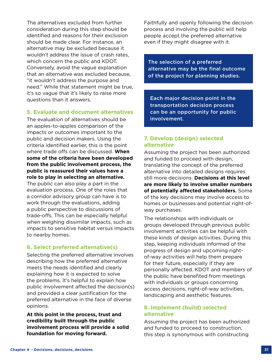The alternatives excluded from further consideration during this step should be identified and reasons for their exclusion should be made clear. For instance, an alternative may be excluded because it wouldn't address the issue of crash rates, which concern the public and KDOT. Conversely, avoid the vague explanation that an alternative was excluded because, "it wouldn't address the purpose and need." While that statement might be true, it's so vague that it's likely to raise more questions than it answers.

#### **5. Evaluate and document alternatives**

The evaluation of alternatives should be an apples-to-apples comparison of the impacts or outcomes important to the public and decision makers. Using the criteria identified earlier, this is the point where trade offs can be discussed. **When some of the criteria have been developed from the public involvement process, the public is reassured their values have a role to play in selecting an alternative.**

The public can also play a part in the evaluation process. One of the roles that a corridor advisory group can have is to work through the evaluations, adding a public perspective to discussions of trade-offs. This can be especially helpful when weighing dissimilar impacts, such as impacts to sensitive habitat versus impacts to nearby homes.

# **6. Select preferred alternative(s)**

Selecting the preferred alternative involves describing how the preferred alternative meets the needs identified and clearly explaining how it is expected to solve the problems. It's helpful to explain how public involvement affected the decision(s) and provided a clear justification for the preferred alternative in the face of diverse opinions.

**At this point in the process, trust and credibility built through the public involvement process will provide a solid foundation for moving forward.**

Faithfully and openly following the decision process and involving the public will help people accept the preferred alternative even if they might disagree with it.

The selection of a preferred alternative may be the final outcome of the project for planning studies.

Each major decision point in the transportation decision process can be an opportunity for public involvement.

# **7. Develop (design) selected alternative**

Assuming the project has been authorized and funded to proceed with design, translating the concept of the preferred alternative into detailed designs requires still more decisions. **Decisions at this level are more likely to involve smaller numbers of potentially affected stakeholders.** Some of the key decisions may involve access to homes or businesses and potential right-ofway purchases.

The relationships with individuals or groups developed through previous public involvement activities can be helpful with these kinds of design activities. During this step, keeping individuals informed of the progress of design and upcoming rightof-way activities will help them prepare for their future, especially if they are personally affected. KDOT and members of the public have benefited from meetings with individuals or groups concerning access decisions, right-of-way activities, landscaping and aesthetic features.

# **8. Implement (build) selected alternative**

Assuming the project has been authorized and funded to proceed to construction, this step is synonymous with constructing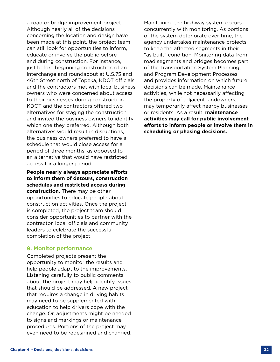a road or bridge improvement project. Although nearly all of the decisions concerning the location and design have been made at this point, the project team can still look for opportunities to inform, educate or involve the public before and during construction. For instance, just before beginning construction of an interchange and roundabout at U.S.75 and 46th Street north of Topeka, KDOT officials and the contractors met with local business owners who were concerned about access to their businesses during construction. KDOT and the contractors offered two alternatives for staging the construction and invited the business owners to identify which one they preferred. Although both alternatives would result in disruptions, the business owners preferred to have a schedule that would close access for a period of three months, as opposed to an alternative that would have restricted access for a longer period.

**People nearly always appreciate efforts to inform them of detours, construction schedules and restricted access during construction.** There may be other opportunities to educate people about construction activities. Once the project is completed, the project team should consider opportunities to partner with the contractor, local officials and community leaders to celebrate the successful completion of the project.

#### **9. Monitor performance**

Completed projects present the opportunity to monitor the results and help people adapt to the improvements. Listening carefully to public comments about the project may help identify issues that should be addressed. A new project that requires a change in driving habits may need to be supplemented with education to help drivers cope with the change. Or, adjustments might be needed to signs and markings or maintenance procedures. Portions of the project may even need to be redesigned and changed. Maintaining the highway system occurs concurrently with monitoring. As portions of the system deteriorate over time, the agency undertakes maintenance projects to keep the affected segments in their "as built" condition. Monitoring data from road segments and bridges becomes part of the Transportation System Planning, and Program Development Processes and provides information on which future decisions can be made. Maintenance activities, while not necessarily affecting the property of adjacent landowners, may temporarily affect nearby businesses or residents. As a result, **maintenance activities may call for public involvement efforts to inform people or involve them in scheduling or phasing decisions.**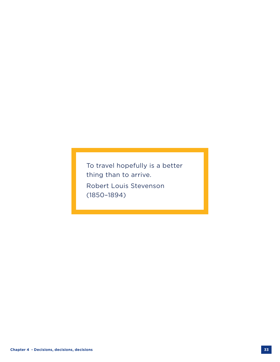To travel hopefully is a better thing than to arrive. Robert Louis Stevenson (1850–1894)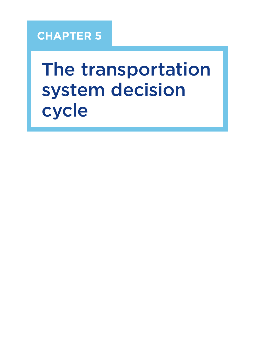# **CHAPTER 5**

# The transportation system decision cycle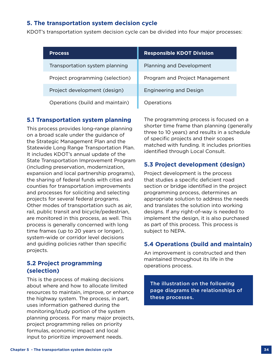# **5. The transportation system decision cycle**

KDOT's transportation system decision cycle can be divided into four major processes:

| <b>Process</b>                  | <b>Responsible KDOT Division</b> |
|---------------------------------|----------------------------------|
| Transportation system planning  | Planning and Development         |
| Project programming (selection) | Program and Project Management   |
| Project development (design)    | <b>Engineering and Design</b>    |
| Operations (build and maintain) | Operations                       |

#### **5.1 Transportation system planning**

This process provides long-range planning on a broad scale under the guidance of the Strategic Management Plan and the Statewide Long Range Transportation Plan. It includes KDOT's annual update of the State Transportation Improvement Program (including preservation, modernization, expansion and local partnership programs), the sharing of federal funds with cities and counties for transportation improvements and processes for soliciting and selecting projects for several federal programs. Other modes of transportation such as air, rail, public transit and bicycle/pedestrian, are monitored in this process, as well. This process is generally concerned with long time frames (up to 20 years or longer), system-wide or corridor level decisions and guiding policies rather than specific projects.

# **5.2 Project programming (selection)**

This is the process of making decisions about where and how to allocate limited resources to maintain, improve, or enhance the highway system. The process, in part, uses information gathered during the monitoring/study portion of the system planning process. For many major projects, project programming relies on priority formulas, economic impact and local input to prioritize improvement needs.

The programming process is focused on a shorter time frame than planning (generally three to 10 years) and results in a schedule of specific projects and their scopes matched with funding. It includes priorities identified through Local Consult.

# **5.3 Project development (design)**

Project development is the process that studies a specific deficient road section or bridge identified in the project programming process, determines an appropriate solution to address the needs and translates the solution into working designs. If any right-of-way is needed to implement the design, it is also purchased as part of this process. This process is subject to NEPA.

# **5.4 Operations (build and maintain)**

An improvement is constructed and then maintained throughout its life in the operations process.

The illustration on the following page diagrams the relationships of these processes.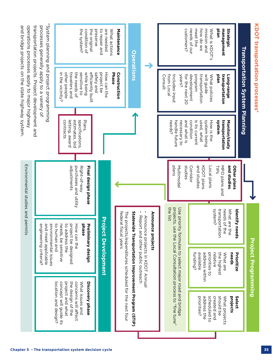| KDOT transportation processes*                                         |                                                                                                                                          |                                                                         |                                                                   |                                                                                             | Project Programming                                                                                                                              |                                                                                                                 |
|------------------------------------------------------------------------|------------------------------------------------------------------------------------------------------------------------------------------|-------------------------------------------------------------------------|-------------------------------------------------------------------|---------------------------------------------------------------------------------------------|--------------------------------------------------------------------------------------------------------------------------------------------------|-----------------------------------------------------------------------------------------------------------------|
|                                                                        | Transportation System Planning                                                                                                           |                                                                         |                                                                   |                                                                                             |                                                                                                                                                  |                                                                                                                 |
| plan<br>management<br>Strategic                                        | plan<br>transportation<br>Fong-range                                                                                                     | system<br>transportation<br>Monitor/study                               | and studies<br>MPO plans and<br><b>Other plans</b><br><b>TIPS</b> | transportation<br>needs of the<br>What are the<br>ldentify<br>needs                         | the highest<br>needs<br>What are<br>Prioritize                                                                                                   | should be<br>What projects<br>projects<br>Select                                                                |
| needs of our<br>meet the<br>how do we<br>mission and<br>What is KDOT's | development<br>program<br>transportation<br>will guide<br>What policies                                                                  | condition<br>used, what<br>system being<br>is its current<br>How is the | and studies<br>Corridor<br>KDOT plans<br>Local plans              | system?                                                                                     | available<br>address within<br>funding?<br>priorities to<br>relative                                                                             | scheduled to<br>priorities?<br>address the<br>created and                                                       |
| customers?                                                             | <b>years?</b><br>from Local<br>for the next 20<br>Consult<br>Includes input                                                              | and what is<br>needs?<br>handle future<br>necessary to                  | studies<br>plans<br>Multimodal                                    | the list<br>projects                                                                        | Use priority formulas to select major road and bridge<br>, use the Local Consultation process to "fine tune",                                    |                                                                                                                 |
|                                                                        |                                                                                                                                          |                                                                         |                                                                   | Announce projects                                                                           | Announce projects in KDOT Annual                                                                                                                 |                                                                                                                 |
| <b>Operations</b>                                                      |                                                                                                                                          |                                                                         |                                                                   | ٠                                                                                           | Statewide Transportation Improvement Program (STIP)<br>The projects/expenditures scheduled for the next four<br>Report and other public outreach |                                                                                                                 |
| Maintenance<br>What actions                                            | Phase<br>Construction                                                                                                                    |                                                                         |                                                                   |                                                                                             |                                                                                                                                                  |                                                                                                                 |
| to repair and<br>are needed<br>preserve                                | safely and<br>project be<br>How can the                                                                                                  |                                                                         |                                                                   | <b>Project Development</b>                                                                  |                                                                                                                                                  |                                                                                                                 |
| the system?<br>condition of<br>the original                            | sensitive to<br>while being<br>efficiently built                                                                                         | Plans,                                                                  | Final design phase<br>Right-of-way                                | phase<br>Preliminary design                                                                 |                                                                                                                                                  | What issues and<br>Discovery phase                                                                              |
|                                                                        | other people<br>in the vicinity?<br>travelers and<br>the needs of                                                                        | estimates, bid<br>specifications<br>contracts<br>letting, award         | adjustments<br>purchases and utility                              | to human and<br>needs, be sensitive<br>to address the<br>oroject be designed<br>How can the |                                                                                                                                                  | concept will guide its<br>project and what<br>the design of the<br>concerns will affect<br>location and design? |
|                                                                        | System planning and project programming<br>transportation projects. Project development and<br>processes generally apply to a variety of |                                                                         |                                                                   | engineering criteria?<br>and meet applicable<br>environmental issues                        |                                                                                                                                                  |                                                                                                                 |
|                                                                        | and bridge projects on the state highway system.<br>operations processes apply to major highway                                          |                                                                         | Environmental studies and permits                                 |                                                                                             |                                                                                                                                                  |                                                                                                                 |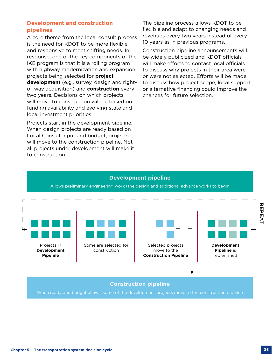#### **Development and construction pipelines**

A core theme from the local consult process is the need for KDOT to be more flexible and responsive to meet shifting needs. In response, one of the key components of the IKE program is that it is a rolling program with highway modernization and expansion projects being selected for **project development** (e.g., survey, design and rightof-way acquisition) and **construction** every two years. Decisions on which projects will move to construction will be based on funding availability and evolving state and local investment priorities.

Projects start in the development pipeline. When design projects are ready based on Local Consult input and budget, projects will move to the construction pipeline. Not all projects under development will make it to construction.

The pipeline process allows KDOT to be flexible and adapt to changing needs and revenues every two years instead of every 10 years as in previous programs.

Construction pipeline announcements will be widely publicized and KDOT officials will make efforts to contact local officials to discuss why projects in their area were or were not selected. Efforts will be made to discuss how project scope, local support or alternative financing could improve the chances for future selection.

# **Development pipeline**

Allows preliminary engineering work (the design and additional advance work) to begin



#### **Construction pipeline**

When ready and budget allows, some of the development projects move to the construction pipeline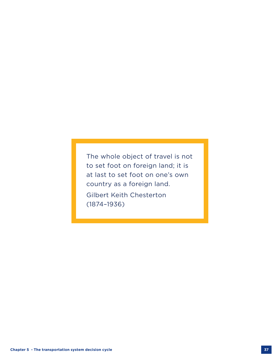The whole object of travel is not to set foot on foreign land; it is at last to set foot on one's own country as a foreign land. Gilbert Keith Chesterton (1874–1936)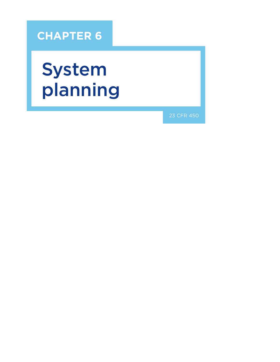# **CHAPTER 6**

# System planning

23 CFR 450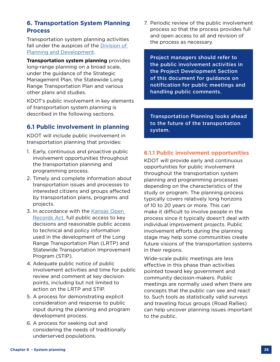# **6. Transportation System Planning Process**

Transportation system planning activities fall under the auspices of the [Division of](https://www.ksdot.org/bureaus/burtransplan/default.asp)  [Planning and Development.](https://www.ksdot.org/bureaus/burtransplan/default.asp)

**Transportation system planning** provides long-range planning on a broad scale, under the guidance of the Strategic Management Plan, the Statewide Long Range Transportation Plan and various other plans and studies.

KDOT's public involvement in key elements of transportation system planning is described in the following sections.

# **6.1 Public involvement in planning**

KDOT will include public involvement in transportation planning that provides:

- 1. Early, continuous and proactive public involvement opportunities throughout the transportation planning and programming process.
- 2. Timely and complete information about transportation issues and processes to interested citizens and groups affected by transportation plans, programs and projects.
- 3. In accordance with the Kansas Open [Records Act](https://www.kansas.gov/kbi/info/docs/pdf/Open%20Records%20Brochure.pdf), full public access to key decisions and reasonable public access to technical and policy information used in the development of the Long Range Transportation Plan (LRTP) and Statewide Transportation Improvement Program (STIP).
- 4. Adequate public notice of public involvement activities and time for public review and comment at key decision points, including but not limited to action on the LRTP and STIP.
- 5. A process for demonstrating explicit consideration and response to public input during the planning and program development process.
- 6. A process for seeking out and considering the needs of traditionally underserved populations.

7. Periodic review of the public involvement process so that the process provides full and open access to all and revision of the process as necessary.

Project managers should refer to the public involvement activities in the Project Development Section of this document for guidance on notification for public meetings and handling public comments.

Transportation Planning looks ahead to the future of the transportation system.

# **6.1.1 Public involvement opportunities**

KDOT will provide early and continuous opportunities for public involvement throughout the transportation system planning and programming processes depending on the characteristics of the study or program. The planning process typically covers relatively long horizons of 10 to 20 years or more. This can make it difficult to involve people in the process since it typically doesn't deal with individual improvement projects. Public involvement efforts during the planning stage may help some communities create future visions of the transportation systems in their regions.

Wide-scale public meetings are less effective in this phase than activities pointed toward key government and community decision-makers. Public meetings are normally used when there are concepts that the public can see and react to. Such tools as statistically valid surveys and traveling focus groups (Road Rallies) can help uncover planning issues important to the public.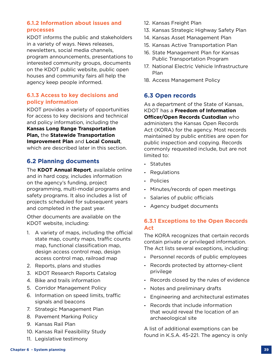# **6.1.2 Information about issues and processes**

KDOT informs the public and stakeholders in a variety of ways. News releases, newsletters, social media channels, program announcements, presentations to interested community groups, documents on the KDOT public website, public open houses and community fairs all help the agency keep people informed.

# **6.1.3 Access to key decisions and policy information**

KDOT provides a variety of opportunities for access to key decisions and technical and policy information, including the **[Kansas Long Range Transportation](https://www.ksdot.org/Assets/wwwksdotorg/bureaus/burTransPlan/Documents/KDOT_LRTP.pdf)  [Plan,](https://www.ksdot.org/Assets/wwwksdotorg/bureaus/burTransPlan/Documents/KDOT_LRTP.pdf)** the **[Statewide Transportation](https://www.ksdot.org/burProgProjMgmt/stip/stip.asp)  [Improvement Plan](https://www.ksdot.org/burProgProjMgmt/stip/stip.asp)** and **[Local Consult](https://www.ksdot.org/LocalConsult/LocalConsult.asp)**, which are described later in this section.

# **6.2 Planning documents**

The **[KDOT Annual Report](https://www.ksdot.org/publications.asp)**, available online and in hard copy, includes information on the agency's funding, project programming, multi-modal programs and safety programs. It also includes a list of projects scheduled for subsequent years and completed in the past year.

Other documents are available on the KDOT website, including:

- 1. A variety of maps, including the official state map, county maps, traffic counts map, functional classification map, design access control map, design access control map, railroad map
- 2. Reports, plans and studies
- 3. KDOT Research Reports Catalog
- 4. Bike and trails information
- 5. Corridor Management Policy
- 6. Information on speed limits, traffic signals and beacons
- 7. Strategic Management Plan
- 8. Pavement Marking Policy
- 9. Kansas Rail Plan
- 10. Kansas Rail Feasibility Study
- 11. Legislative testimony
- 12. Kansas Freight Plan
- 13. Kansas Strategic Highway Safety Plan
- 14. Kansas Asset Management Plan
- 15. Kansas Active Transportation Plan
- 16. State Management Plan for Kansas Public Transportation Program
- 17. National Electric Vehicle Infrastructure Plan
- 18. Access Management Policy

# **6.3 Open records**

As a department of the State of Kansas, KDOT has a **Freedom of Information Officer/Open Records Custodian** who administers the Kansas Open Records Act (KORA) for the agency. Most records maintained by public entities are open for public inspection and copying. Records commonly requested include, but are not limited to:

- **-** Statutes
- **-** Regulations
- **-** Policies
- **-** Minutes/records of open meetings
- **-** Salaries of public officials
- **-** Agency budget documents

# **6.3.1 Exceptions to the Open Records Act**

The KORA recognizes that certain records contain private or privileged information. The Act lists several exceptions, including:

- **-** Personnel records of public employees
- **-** Records protected by attorney-client privilege
- **-** Records closed by the rules of evidence
- **-** Notes and preliminary drafts
- **-** Engineering and architectural estimates
- **-** Records that include information that would reveal the location of an archaeological site

A list of additional exemptions can be found in K.S.A. 45-221. The agency is only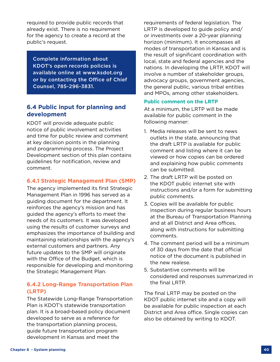required to provide public records that already exist. There is no requirement for the agency to create a record at the public's request.

Complete information about KDOT's open records policies is available online at www.ksdot.org or by contacting the Office of Chief Counsel, 785-296-3831.

# **6.4 Public input for planning and development**

KDOT will provide adequate public notice of public involvement activities and time for public review and comment at key decision points in the planning and programming process. The Project Development section of this plan contains guidelines for notification, review and comment.

# **6.4.1 Strategic Management Plan (SMP)**

The agency implemented its first Strategic Management Plan in 1996 has served as a guiding document for the department. It reinforces the agency's mission and has guided the agency's efforts to meet the needs of its customers. It was developed using the results of customer surveys and emphasizes the importance of building and maintaining relationships with the agency's external customers and partners. Any future updates to the SMP will originate with the Office of the Budget, which is responsible for developing and monitoring the Strategic Management Plan.

# **6.4.2 Long-Range Transportation Plan (LRTP)**

The Statewide Long-Range Transportation Plan is KDOT's statewide transportation plan. It is a broad-based policy document developed to serve as a reference for the transportation planning process, guide future transportation program development in Kansas and meet the

requirements of federal legislation. The LRTP is developed to guide policy and/ or investments over a 20-year planning horizon (minimum). It encompasses all modes of transportation in Kansas and is the result of significant coordination with local, state and federal agencies and the nations. In developing the LRTP, KDOT will involve a number of stakeholder groups, advocacy groups, government agencies, the general public, various tribal entities and MPOs, among other stakeholders.

#### **Public comment on the LRTP**

At a minimum, the LRTP will be made available for public comment in the following manner:

- 1. Media releases will be sent to news outlets in the state, announcing that the draft LRTP is available for public comment and listing where it can be viewed or how copies can be ordered and explaining how public comments can be submitted.
- 2. The draft LRTP will be posted on the KDOT public internet site with instructions and/or a form for submitting public comments.
- 3. Copies will be available for public inspection during regular business hours at the Bureau of Transportation Planning and at all District and Area offices, along with instructions for submitting comments.
- 4. The comment period will be a minimum of 30 days from the date that official notice of the document is published in the new realese.
- 5. Substantive comments will be considered and responses summarized in the final LRTP.

The final LRTP may be posted on the KDOT public internet site and a copy will be available for public inspection at each District and Area office. Single copies can also be obtained by writing to KDOT.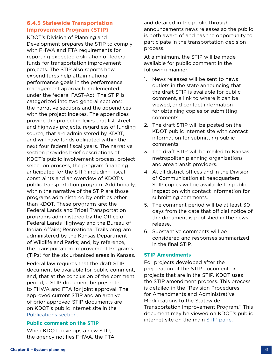# **6.4.3 Statewide Transportation Improvement Program (STIP)**

KDOT's Division of Planning and Development prepares the STIP to comply with FHWA and FTA requirements for reporting expected obligation of federal funds for transportation improvement projects. The STIP also reports how expenditures help attain national performance goals in the performance management approach implemented under the federal FAST-Act. The STIP is categorized into two general sections: the narrative sections and the appendices with the project indexes. The appendices provide the project indexes that list street and highway projects, regardless of funding source, that are administered by KDOT, and will have funds obligated within the next four federal fiscal years. The narrative section provides brief descriptions of KDOT's public involvement process, project selection process, the program financing anticipated for the STIP, including fiscal constraints and an overview of KDOT's public transportation program. Additionally, within the narrative of the STIP are those programs administered by entities other than KDOT. These programs are: the Federal Lands and Tribal Transportation programs administered by the Office of Federal Lands Highway and the Bureau of Indian Affairs; Recreational Trails program administered by the Kansas Department of Wildlife and Parks; and, by reference, the Transportation Improvement Programs (TIPs) for the six urbanized areas in Kansas.

Federal law requires that the draft STIP document be available for public comment, and, that at the conclusion of the comment period, a STIP document be presented to FHWA and FTA for joint approval. The approved current STIP and an archive of prior approved STIP documents are on KDOT's public internet site in the [Publications section.](https://www.ksdot.org/publications.asp)

#### **Public comment on the STIP**

When KDOT develops a new STIP, the agency notifies FHWA, the FTA and detailed in the public through announcements news releases so the public is both aware of and has the opportunity to participate in the transportation decision process.

At a minimum, the STIP will be made available for public comment in the following manner:

- 1. News releases will be sent to news outlets in the state announcing that the draft STIP is available for public comment, a link to where it can be viewed, and contact information for obtaining copies or submitting comments.
- 2. The draft STIP will be posted on the KDOT public internet site with contact information for submitting public comments.
- 3. The draft STIP will be mailed to Kansas metropolitan planning organizations and area transit providers.
- 4. At all district offices and in the Division of Communication at headquarters, STIP copies will be available for public inspection with contact information for submitting comments.
- 5. The comment period will be at least 30 days from the date that official notice of the document is published in the news release.
- 6. Substantive comments will be considered and responses summarized in the final STIP.

#### **STIP Amendments**

For projects developed after the preparation of the STIP document or projects that are in the STIP, KDOT uses the STIP amendment process. This process is detailed in the "Revision Procedures for Amendments and Administrative Modifications to the Statewide Transportation Improvement Program." This document may be viewed on KDOT's public internet site on the main [STIP page.](https://www.ksdot.org/bureaus/burProgProjMgmt/stip/stip.asp)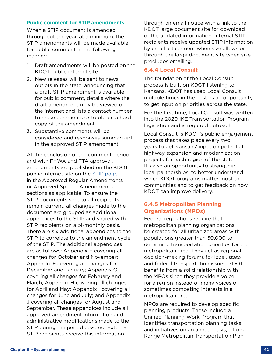#### **Public comment for STIP amendments**

When a STIP document is amended throughout the year, at a minimum, the STIP amendments will be made available for public comment in the following manner:

- 1. Draft amendments will be posted on the KDOT public internet site.
- 2. New releases will be sent to news outlets in the state, announcing that a draft STIP amendment is available for public comment, details where the draft amendment may be viewed on the internet and lists a contact number to make comments or to obtain a hard copy of the amendment.
- 3. Substantive comments will be considered and responses summarized in the approved STIP amendment.

At the conclusion of the comment period and with FHWA and FTA approval, amendments are published on the KDOT public internet site on the [STIP page](https://www.ksdot.org/bureaus/burProgProjMgmt/stip/stip.asp) in the Approved Regular Amendments or Approved Special Amendments sections as applicable. To ensure the STIP documents sent to all recipients remain current, all changes made to the document are grouped as additional appendices to the STIP and shared with STIP recipients on a bi-monthly basis. There are six additional appendices to the STIP to correlate to the amendment cycle of the STIP. The additional appendices are as follows: Appendix E covering all changes for October and November; Appendix F covering all changes for December and January; Appendix G covering all changes for February and March; Appendix H covering all changes for April and May; Appendix I covering all changes for June and July; and Appendix J covering all changes for August and September. These appendices include all approved amendment information and administrative modifications made to the STIP during the period covered. External STIP recipients receive this information

through an email notice with a link to the KDOT large document site for download of the updated information. Internal STIP recipients receive updated STIP information by email attachment when size allows or through the large document site when size precludes emailing.

#### **6.4.4 Local Consult**

The foundation of the Local Consult process is built on KDOT listening to Kansans. KDOT has used Local Consult multiple times in the past as an opportunity to get input on priorities across the state.

For the first time, Local Consult was written into the 2020 IKE Transportation Program legislation and is required outreach.

Local Consult is KDOT's public engagement process that takes place every two years to get Kansans' input on potential highway expansion and modernization projects for each region of the state. It's also an opportunity to strengthen local partnerships, to better understand which KDOT programs matter most to communities and to get feedback on how KDOT can improve delivery.

# **6.4.5 Metropolitan Planning Organizations (MPOs)**

Federal regulations require that metropolitan planning organizations be created for all urbanized areas with populations greater than 50,000 to determine transportation priorities for the metropolitan area. They act as regional decision-making forums for local, state and federal transportation issues. KDOT benefits from a solid relationship with the MPOs since they provide a voice for a region instead of many voices of sometimes competing interests in a metropolitan area.

MPOs are required to develop specific planning products. These include a Unified Planning Work Program that identifies transportation planning tasks and initiatives on an annual basis, a Long Range Metropolitan Transportation Plan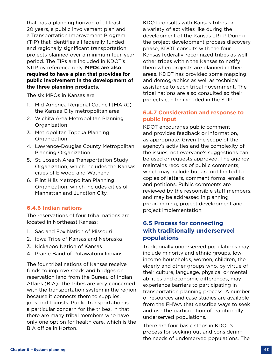that has a planning horizon of at least 20 years, a public involvement plan and a Transportation Improvement Program (TIP) that identifies all federally funded and regionally significant transportation projects planned over a minimum four-year period. The TIPs are included in KDOT's STIP by reference only. **MPOs are also required to have a plan that provides for public involvement in the development of the three planning products.**

The six MPOs in Kansas are:

- 1. Mid-America Regional Council (MARC) the Kansas City metropolitan area
- 2. Wichita Area Metropolitan Planning Organization
- 3. Metropolitan Topeka Planning Organization
- 4. Lawrence-Douglas County Metropolitan Planning Organization
- 5. St. Joseph Area Transportation Study Organization, which includes the Kansas cities of Elwood and Wathena.
- 6. Flint Hills Metropolitan Planning Organization, which includes cities of Manhattan and Junction City.

# **6.4.6 Indian nations**

The reservations of four tribal nations are located in Northeast Kansas:

- 1. Sac and Fox Nation of Missouri
- 2. Iowa Tribe of Kansas and Nebraska
- 3. Kickapoo Nation of Kansas
- 4. Prairie Band of Potawatomi Indians

The four tribal nations of Kansas receive funds to improve roads and bridges on reservation land from the Bureau of Indian Affairs (BIA). The tribes are very concerned with the transportation system in the region because it connects them to supplies, jobs and tourists. Public transportation is a particular concern for the tribes, in that there are many tribal members who have only one option for health care, which is the BIA office in Horton.

KDOT consults with Kansas tribes on a variety of activities like during the development of the Kansas LRTP. During the project development process discovery phase, KDOT consults with the four Kansas federally-recognized tribes as well other tribes within the Kansas to notify them when projects are planned in their areas. KDOT has provided some mapping and demographics as well as technical assistance to each tribal government. The tribal nations are also consulted so their projects can be included in the STIP.

# **6.4.7 Consideration and response to public input**

KDOT encourages public comment and provides feedback or information, as appropriate. Given the scope of the agency's activities and the complexity of the issues, not everyone's suggestions can be used or requests approved. The agency maintains records of public comments, which may include but are not limited to copies of letters, comment forms, emails and petitions. Public comments are reviewed by the responsible staff members, and may be addressed in planning, programming, project development and project implementation.

# **6.5 Process for connecting with traditionally underserved populations**

Traditionally underserved populations may include minority and ethnic groups, lowincome households, women, children, the elderly and other groups who, by virtue of their culture, language, physical or mental abilities and economic differences, may experience barriers to participating in transportation planning process. A number of resources and case studies are available from the FHWA that describe ways to seek and use the participation of traditionally underserved populations.

There are four basic steps in KDOT's process for seeking out and considering the needs of underserved populations. The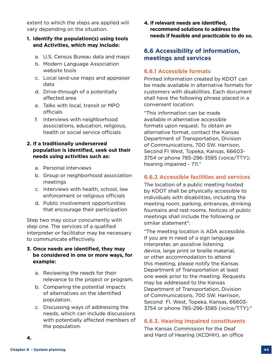extent to which the steps are applied will vary depending on the situation.

#### **1. Identify the population(s) using tools and Activities, which may include:**

- a. U.S. Census Bureau data and maps
- b. Modern Language Association website tools
- c. Local land-use maps and appraiser data
- d. Drive-through of a potentially affected area
- e. Talks with local, transit or MPO officials
- f. Interviews with neighborhood associations, education, religious, health or social service officials

# **2. If a traditionally underserved population is identified, seek out their needs using activities such as:**

- a. Personal interviews
- b. Group or neighborhood association meetings
- c. Interviews with health, school, law enforcement or religious officials
- d. Public involvement opportunities that encourage their participation

Step two may occur concurrently with step one. The services of a qualified interpreter or facilitator may be necessary to communicate effectively.

#### **3. Once needs are identified, they may be considered in one or more ways, for example:**

- a. Reviewing the needs for their relevance to the project or program.
- b. Comparing the potential impacts of alternatives on the identified population.
- c. Discussing ways of addressing the needs, which can include discussions with potentially affected members of the population.

**4. If relevant needs are identified, recommend solutions to address the needs if feasible and practicable to do so.**

# **6.6 Accessibility of information, meetings and services**

# **6.6.1 Accessible formats**

Printed information created by KDOT can be made available in alternative formats for customers with disabilities. Each document shall have the following phrase placed in a convenient location:

"This information can be made available in alternative accessible formats upon request. To obtain an alternative format, contact the Kansas Department of Transportation, Division of Communications, 700 SW. Harrison, Second Fl West, Topeka, Kansas, 66603- 3754 or phone 785-296-3585 (voice/TTY); hearing impaired - 711."

# **6.6.2 Accessible facilities and services**

The location of a public meeting hosted by KDOT shall be physically accessible to individuals with disabilities, including the meeting room, parking, entrances, drinking fountains and rest rooms. Notices of public meetings shall include the following or similar statement\*:

"The meeting location is ADA accessible. If you are in need of a sign language interpreter, an assistive listening device, large print or braille material, or other accommodation to attend this meeting, please notify the Kansas Department of Transportation at least one week prior to the meeting. Requests may be addressed to the Kansas Department of Transportation, Division of Communications, 700 SW. Harrison, Second Fl. West, Topeka, Kansas, 66603- 3754 or phone 785-296-3585 (voice/TTY)."

# **6.6.3. Hearing impaired constituents**

The Kansas Commission for the Deaf and Hard of Hearing (KCDHH), an office

**4.**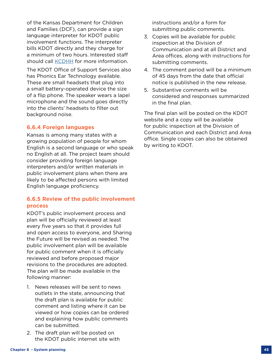of the Kansas Department for Children and Families (DCF), can provide a sign language interpreter for KDOT public involvement functions. The interpreter bills KDOT directly and they charge for a minimum of two hours. Interested staff should call [KCDHH](https://kcdhh.ks.gov) for more information.

The KDOT Office of Support Services also has Phonics Ear Technology available. These are small headsets that plug into a small battery-operated device the size of a flip phone. The speaker wears a lapel microphone and the sound goes directly into the clients' headsets to filter out background noise.

#### **6.6.4 Foreign languages**

Kansas is among many states with a growing population of people for whom English is a second language or who speak no English at all. The project team should consider providing foreign language interpreters and/or written materials in public involvement plans when there are likely to be affected persons with limited English language proficiency.

# **6.6.5 Review of the public involvement process**

KDOT's public involvement process and plan will be officially reviewed at least every five years so that it provides full and open access to everyone, and Sharing the Future will be revised as needed. The public involvement plan will be available for public comment when it is officially reviewed and before proposed major revisions to the procedures are adopted. The plan will be made available in the following manner:

- 1. News releases will be sent to news outlets in the state, announcing that the draft plan is available for public comment and listing where it can be viewed or how copies can be ordered and explaining how public comments can be submitted.
- 2. The draft plan will be posted on the KDOT public internet site with

instructions and/or a form for submitting public comments.

- 3. Copies will be available for public inspection at the Division of Communication and at all District and Area offices, along with instructions for submitting comments.
- 4. The comment period will be a minimum of 45 days from the date that official notice is published in the new release.
- 5. Substantive comments will be considered and responses summarized in the final plan.

The final plan will be posted on the KDOT website and a copy will be available for public inspection at the Division of Communication and each District and Area office. Single copies can also be obtained by writing to KDOT.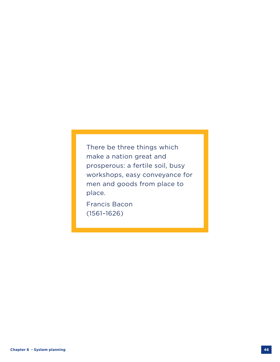There be three things which make a nation great and prosperous: a fertile soil, busy workshops, easy conveyance for men and goods from place to place.

Francis Bacon (1561–1626)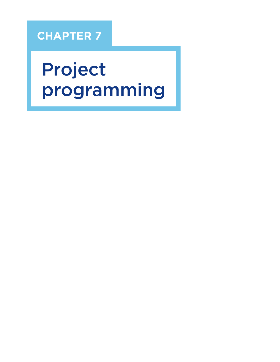# **CHAPTER 7**

# Project programming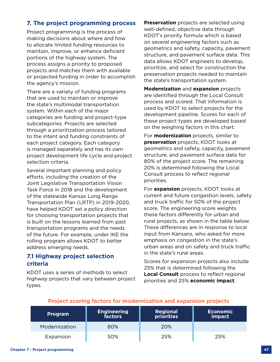# **7. The project programming process**

Project programming is the process of making decisions about where and how to allocate limited funding resources to maintain, improve, or enhance deficient portions of the highway system. The process assigns a priority to proposed projects and matches them with available or projected funding in order to accomplish the agency's mission.

There are a variety of funding programs that are used to maintain or improve the state's multimodal transportation system. Within each of the major categories are funding and project-type subcategories. Projects are selected through a prioritization process tailored to the intent and funding constraints of each project category. Each category is managed separately and has its own project development life cycle and project selection criteria.

Several important planning and policy efforts, including the creation of the Joint Legislative Transportation Vision Task Force in 2018 and the development of the statewide Kansas Long Range Transportation Plan (LRTP) in 2019-2020, have helped KDOT set a policy direction for choosing transportation projects that is built on the lessons learned from past transportation programs and the needs of the future. For example, under IKE the rolling program allows KDOT to better address emerging needs.

# **7.1 Highway project selection criteria**

KDOT uses a series of methods to select highway projects that vary between project types.

**Preservation** projects are selected using well-defined, objective data through KDOT's priority formula which is based on several engineering factors such as geometrics and safety, capacity, pavement structure, and pavement surface data. This data allows KDOT engineers to develop, prioritize, and select for construction the preservation projects needed to maintain the state's transportation system.

**Modernization** and **expansion** projects are identified through the Local Consult process and scored. That information is used by KDOT to select projects for the development pipeline. Scores for each of these project types are developed based on the weighing factors in this chart:

For **modernization** projects, similar to **preservation** projects, KDOT looks at geometrics and safety, capacity, pavement structure, and pavement surface data for 80% of the project score. The remaining 20% is determined following the Local Consult process to reflect regional priorities.

For **expansion** projects, KDOT looks at current and future congestion levels, safety and truck traffic for 50% of the project score. The engineering score weights these factors differently for urban and rural projects, as shown in the table below. These differences are in response to local input from Kansans, who asked for more emphasis on congestion in the state's urban areas and on safety and truck traffic in the state's rural areas.

Scores for expansion projects also include 25% that is determined following the **Local Consult** process to reflect regional priorities and 25% **economic impact**.

#### **Program Engineering factors Regional priorities Economic impact** Modernization 80% 20% Expansion 50% 25% 25%

# **Project scoring factors for modernization and expansion projects**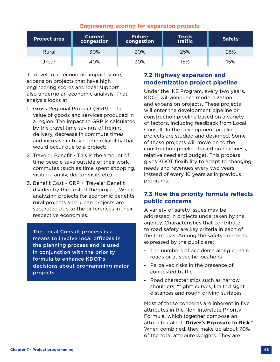| <b>Engineering scoring for expansion projects</b> |                              |                             |                  |               |
|---------------------------------------------------|------------------------------|-----------------------------|------------------|---------------|
| <b>Project area</b>                               | <b>Current</b><br>congestion | <b>Future</b><br>congestion | Truck<br>traffic | <b>Safety</b> |
| Rural                                             | 30%                          | 20%                         | 25%              | 25%           |
| Jrban                                             | 40%                          | 30%                         | 15%              | 15%           |

# **Engineering scoring for expansion projects**

To develop an economic impact score, expansion projects that have high engineering scores and local support also undergo an economic analysis. That analysis looks at:

- 1. Gross Regional Product (GRP) The value of goods and services produced in a region. The impact to GRP is calculated by the travel time savings of freight delivery, decrease in commute times and increase in travel time reliability that would occur due to a project;
- 2. Traveler Benefit This is the amount of time people save outside of their work commutes (such as time spent shopping, visiting family, doctor visits etc)
- 3. Benefit Cost GRP + Traveler Benefit divided by the cost of the project. When analyzing projects for economic benefits, rural projects and urban projects are separated due to the differences in their respective economies.

The Local Consult process is a means to involve local officials in the planning process and is used in conjunction with the priority formula to enhance KDOT's decisions about programming major projects.

# **7.2 Highway expansion and modernization project pipeline**

Under the IKE Program, every two years, KDOT will announce modernization and expansion projects. These projects will enter the development pipeline or construction pipeline based on a variety of factors, including feedback from Local Consult. In the development pipeline, projects are studied and designed. Some of these projects will move on to the construction pipeline based on readiness, relative need and budget. This process gives KDOT flexibility to adapt to changing needs and revenues every two years instead of every 10 years as in previous programs.

# **7.3 How the priority formula reflects public concerns**

A variety of safety issues may be addressed in projects undertaken by the agency. Characteristics that contribute to road safety are key criteria in each of the formulas. Among the safety concerns expressed by the public are:

- **-** The numbers of accidents along certain roads or at specific locations
- **-** Perceived risks in the presence of congested traffic
- **-** Road characteristics such as narrow shoulders, "tight" curves, limited sight distances and rough driving surfaces

Most of these concerns are inherent in five attributes in the Non-Interstate Priority Formula, which together compose an attribute called "**Driver's Exposure to Risk**." When combined, they make up about 70% of the total attribute weights. They are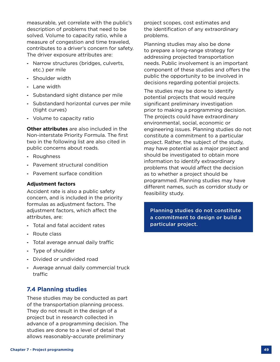measurable, yet correlate with the public's description of problems that need to be solved. Volume to capacity ratio, while a measure of congestion and time traveled, contributes to a driver's concern for safety. The driver exposure attributes are:

- **-** Narrow structures (bridges, culverts, etc.) per mile
- **-** Shoulder width
- **-** Lane width
- **-** Substandard sight distance per mile
- **-** Substandard horizontal curves per mile (tight curves)
- **-** Volume to capacity ratio

**Other attributes** are also included in the Non-interstate Priority Formula. The first two in the following list are also cited in public concerns about roads.

- **-** Roughness
- **-** Pavement structural condition
- **-** Pavement surface condition

#### **Adjustment factors**

Accident rate is also a public safety concern, and is included in the priority formulas as adjustment factors. The adjustment factors, which affect the attributes, are:

- **-** Total and fatal accident rates
- **-** Route class
- **-** Total average annual daily traffic
- **-** Type of shoulder
- **-** Divided or undivided road
- **-** Average annual daily commercial truck traffic

# **7.4 Planning studies**

These studies may be conducted as part of the transportation planning process. They do not result in the design of a project but in research collected in advance of a programming decision. The studies are done to a level of detail that allows reasonably-accurate preliminary

project scopes, cost estimates and the identification of any extraordinary problems.

Planning studies may also be done to prepare a long-range strategy for addressing projected transportation needs. Public involvement is an important component of these studies and offers the public the opportunity to be involved in decisions regarding potential projects.

The studies may be done to identify potential projects that would require significant preliminary investigation prior to making a programming decision. The projects could have extraordinary environmental, social, economic or engineering issues. Planning studies do not constitute a commitment to a particular project. Rather, the subject of the study, may have potential as a major project and should be investigated to obtain more information to identify extraordinary problems that would affect the decision as to whether a project should be programmed. Planning studies may have different names, such as corridor study or feasibility study.

Planning studies do not constitute a commitment to design or build a particular project.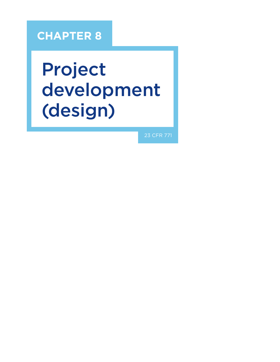# **CHAPTER 8**

# Project development (design)

23 CFR 771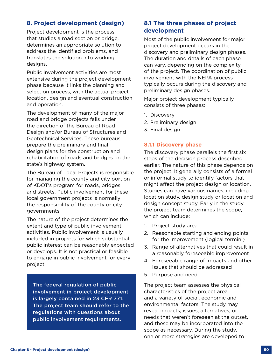# **8. Project development (design)**

Project development is the process that studies a road section or bridge, determines an appropriate solution to address the identified problems, and translates the solution into working designs.

Public involvement activities are most extensive during the project development phase because it links the planning and selection process, with the actual project location, design and eventual construction and operation.

The development of many of the major road and bridge projects falls under the direction of the Bureau of Road Design and/or Bureau of Structures and Geotechnical Services. These bureaus prepare the preliminary and final design plans for the construction and rehabilitation of roads and bridges on the state's highway system.

The Bureau of Local Projects is responsible for managing the county and city portion of KDOT's program for roads, bridges and streets. Public involvement for these local government projects is normally the responsibility of the county or city governments.

The nature of the project determines the extent and type of public involvement activities. Public involvement is usually included in projects for which substantial public interest can be reasonably expected or develops. It is not practical or feasible to engage in public involvement for every project.

The federal regulation of public involvement in project development is largely contained in 23 CFR 771. The project team should refer to the regulations with questions about public involvement requirements.

# **8.1 The three phases of project development**

Most of the public involvement for major project development occurs in the discovery and preliminary design phases. The duration and details of each phase can vary, depending on the complexity of the project. The coordination of public involvement with the NEPA process typically occurs during the discovery and preliminary design phases.

Major project development typically consists of three phases:

- 1. Discovery
- 2. Preliminary design
- 3. Final design

#### **8.1.1 Discovery phase**

The discovery phase parallels the first six steps of the decision process described earlier. The nature of this phase depends on the project. It generally consists of a formal or informal study to identify factors that might affect the project design or location. Studies can have various names, including location study, design study or location and design concept study. Early in the study the project team determines the scope, which can include:

- 1. Project study area
- 2. Reasonable starting and ending points for the improvement (logical termini)
- 3. Range of alternatives that could result in a reasonably foreseeable improvement
- 4. Foreseeable range of impacts and other issues that should be addressed
- 5. Purpose and need

The project team assesses the physical characteristics of the project area and a variety of social, economic and environmental factors. The study may reveal impacts, issues, alternatives, or needs that weren't foreseen at the outset, and these may be incorporated into the scope as necessary. During the study, one or more strategies are developed to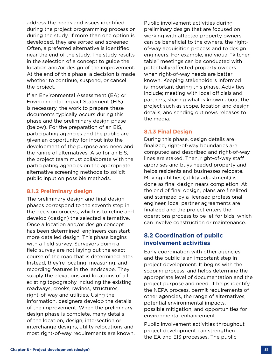address the needs and issues identified during the project programming process or during the study. If more than one option is developed, they are sorted and screened. Often, a preferred alternative is identified near the end of the study. The study results in the selection of a concept to guide the location and/or design of the improvement. At the end of this phase, a decision is made whether to continue, suspend, or cancel the project.

If an Environmental Assessment (EA) or Environmental Impact Statement (EIS) is necessary, the work to prepare these documents typically occurs during this phase and the preliminary design phase (below). For the preparation of an EIS, participating agencies and the public are given an opportunity for input into the development of the purpose and need and the range of alternatives. Also for an EIS, the project team must collaborate with the participating agencies on the appropriate alternative screening methods to solicit public input on possible methods.

#### **8.1.2 Preliminary design**

The preliminary design and final design phases correspond to the seventh step in the decision process, which is to refine and develop (design) the selected alternative. Once a location and/or design concept has been determined, engineers can start more detailed design. This phase begins with a field survey. Surveyors doing a field survey are not laying out the exact course of the road that is determined later. Instead, they're locating, measuring, and recording features in the landscape. They supply the elevations and locations of all existing topography including the existing roadways, creeks, ravines, structures, right-of-way and utilities. Using the information, designers develop the details of the improvement. When the preliminary design phase is complete, many details of the location, design, intersection or interchange designs, utility relocations and most right-of-way requirements are known. Public involvement activities during preliminary design that are focused on working with affected property owners can be beneficial to the owners, the rightof-way acquisition process and to design engineers. For example, individual "kitchen table" meetings can be conducted with potentially-affected property owners when right-of-way needs are better known. Keeping stakeholders informed is important during this phase. Activities include; meeting with local officials and partners, sharing what is known about the project such as scope, location and design details, and sending out news releases to the media.

#### **8.1.3 Final Design**

During this phase, design details are finalized, right-of-way boundaries are computed and described and right-of-way lines are staked. Then, right-of-way staff appraises and buys needed property and helps residents and businesses relocate. Moving utilities (utility adjustment) is done as final design nears completion. At the end of final design, plans are finalized and stamped by a licensed professional engineer, local partner agreements are finalized and the project enters the operations process to be let for bids, which can involve construction or maintenance.

# **8.2 Coordination of public involvement activities**

Early coordination with other agencies and the public is an important step in project development. It begins with the scoping process, and helps determine the appropriate level of documentation and the project purpose and need. It helps identify the NEPA process, permit requirements of other agencies, the range of alternatives, potential environmental impacts, possible mitigation, and opportunities for environmental enhancement.

Public involvement activities throughout project development can strengthen the EA and EIS processes. The public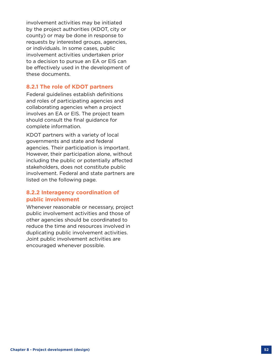involvement activities may be initiated by the project authorities (KDOT, city or county) or may be done in response to requests by interested groups, agencies, or individuals. In some cases, public involvement activities undertaken prior to a decision to pursue an EA or EIS can be effectively used in the development of these documents.

#### **8.2.1 The role of KDOT partners**

Federal guidelines establish definitions and roles of participating agencies and collaborating agencies when a project involves an EA or EIS. The project team should consult the final guidance for complete information.

KDOT partners with a variety of local governments and state and federal agencies. Their participation is important. However, their participation alone, without including the public or potentially affected stakeholders, does not constitute public involvement. Federal and state partners are listed on the following page.

# **8.2.2 Interagency coordination of public involvement**

Whenever reasonable or necessary, project public involvement activities and those of other agencies should be coordinated to reduce the time and resources involved in duplicating public involvement activities. Joint public involvement activities are encouraged whenever possible.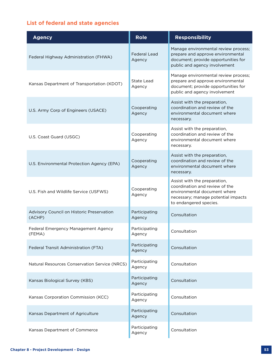# **List of federal and state agencies**

| <b>Agency</b>                                       | <b>Role</b>                   | <b>Responsibility</b>                                                                                                                                           |
|-----------------------------------------------------|-------------------------------|-----------------------------------------------------------------------------------------------------------------------------------------------------------------|
| Federal Highway Administration (FHWA)               | <b>Federal Lead</b><br>Agency | Manage environmental review process;<br>prepare and approve environmental<br>document; provide opportunities for<br>public and agency involvement               |
| Kansas Department of Transportation (KDOT)          | <b>State Lead</b><br>Agency   | Manage environmental review process;<br>prepare and approve environmental<br>document; provide opportunities for<br>public and agency involvement               |
| U.S. Army Corp of Engineers (USACE)                 | Cooperating<br>Agency         | Assist with the preparation,<br>coordination and review of the<br>environmental document where<br>necessary.                                                    |
| U.S. Coast Guard (USGC)                             | Cooperating<br>Agency         | Assist with the preparation,<br>coordination and review of the<br>environmental document where<br>necessary.                                                    |
| U.S. Environmental Protection Agency (EPA)          | Cooperating<br>Agency         | Assist with the preparation,<br>coordination and review of the<br>environmental document where<br>necessary.                                                    |
| U.S. Fish and Wildlife Service (USFWS)              | Cooperating<br>Agency         | Assist with the preparation,<br>coordination and review of the<br>environmental document where<br>necessary; manage potential impacts<br>to endangered species. |
| Advisory Council on Historic Preservation<br>(ACHP) | Participating<br>Agency       | Consultation                                                                                                                                                    |
| Federal Emergency Management Agency<br>(FEMA)       | Participating<br>Agency       | Consultation                                                                                                                                                    |
| Federal Transit Administration (FTA)                | Participating<br>Agency       | Consultation                                                                                                                                                    |
| Natural Resources Conservation Service (NRCS)       | Participating<br>Agency       | Consultation                                                                                                                                                    |
| Kansas Biological Survey (KBS)                      | Participating<br>Agency       | Consultation                                                                                                                                                    |
| Kansas Corporation Commission (KCC)                 | Participating<br>Agency       | Consultation                                                                                                                                                    |
| Kansas Department of Agriculture                    | Participating<br>Agency       | Consultation                                                                                                                                                    |
| Kansas Department of Commerce                       | Participating<br>Agency       | Consultation                                                                                                                                                    |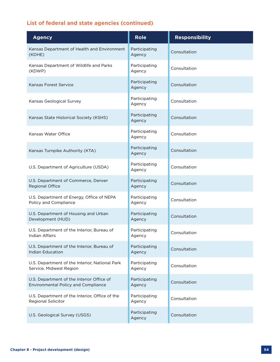# **List of federal and state agencies (continued)**

| <b>Agency</b>                                                                    | <b>Role</b>             | <b>Responsibility</b> |
|----------------------------------------------------------------------------------|-------------------------|-----------------------|
| Kansas Department of Health and Environment<br>(KDHE)                            | Participating<br>Agency | Consultation          |
| Kansas Department of Wildlife and Parks<br>(KDWP)                                | Participating<br>Agency | Consultation          |
| Kansas Forest Service                                                            | Participating<br>Agency | Consultation          |
| Kansas Geological Survey                                                         | Participating<br>Agency | Consultation          |
| Kansas State Historical Society (KSHS)                                           | Participating<br>Agency | Consultation          |
| Kansas Water Office                                                              | Participating<br>Agency | Consultation          |
| Kansas Turnpike Authority (KTA)                                                  | Participating<br>Agency | Consultation          |
| U.S. Department of Agriculture (USDA)                                            | Participating<br>Agency | Consultation          |
| U.S. Department of Commerce, Denver<br>Regional Office                           | Participating<br>Agency | Consultation          |
| U.S. Department of Energy, Office of NEPA<br>Policy and Compliance               | Participating<br>Agency | Consultation          |
| U.S. Department of Housing and Urban<br>Development (HUD)                        | Participating<br>Agency | Consultation          |
| U.S. Department of the Interior, Bureau of<br>Indian Affairs                     | Participating<br>Agency | Consultation          |
| U.S. Department of the Interior, Bureau of<br><b>Indian Education</b>            | Participating<br>Agency | Consultation          |
| U.S. Department of the Interior, National Park<br>Service, Midwest Region        | Participating<br>Agency | Consultation          |
| U.S. Department of the Interior Office of<br>Environmental Policy and Compliance | Participating<br>Agency | Consultation          |
| U.S. Department of the Interior, Office of the<br>Regional Solicitor             | Participating<br>Agency | Consultation          |
| U.S. Geological Survey (USGS)                                                    | Participating<br>Agency | Consultation          |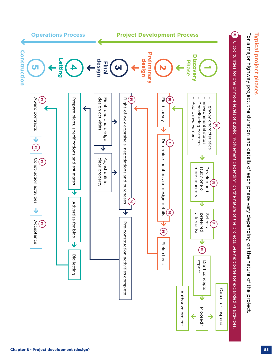

Typical project phases **Typical project phases**

For a major highway project, the duration and details of each phase vary depending on the nature of the project For a major highway project, the duration and details of each phase vary depending on the nature of the project.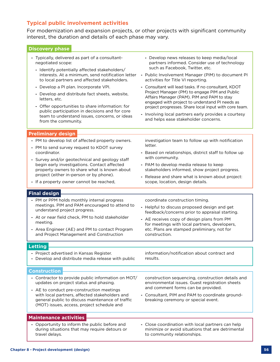# **Typical public involvement activities**

For modernization and expansion projects, or other projects with significant community interest, the duration and details of each phase may vary.

| <b>Discovery phase</b>                                                                                                                                                                                                                                                                                                                                                                                                                                                                                              |                                                                                                                                                                                                                                                                                                                                                                                                                                                                                                                                                                                            |
|---------------------------------------------------------------------------------------------------------------------------------------------------------------------------------------------------------------------------------------------------------------------------------------------------------------------------------------------------------------------------------------------------------------------------------------------------------------------------------------------------------------------|--------------------------------------------------------------------------------------------------------------------------------------------------------------------------------------------------------------------------------------------------------------------------------------------------------------------------------------------------------------------------------------------------------------------------------------------------------------------------------------------------------------------------------------------------------------------------------------------|
| - Typically, delivered as part of a consultant-<br>negotiated scope:<br>- Identify potentially affected stakeholders/<br>interests. At a minimum, send notification letter<br>to local partners and affected stakeholders.<br>- Develop a PI plan. Incorporate VPI.<br>- Develop and distribute fact sheets, website,<br>letters, etc.<br>- Offer opportunities to share information: for<br>public participation in decisions and for core<br>team to understand issues, concerns, or ideas<br>from the community. | - Develop news releases to keep media/local<br>partners informed. Consider use of technology<br>such as Facebook, Twitter, etc.<br>- Public Involvement Manager (PIM) to document PI<br>activities for Title VI reporting.<br>- Consultant will lead tasks. If no consultant, KDOT<br>Project Manager (PM) to engage PIM and Public<br>Affairs Manager (PAM). PIM and PAM to stay<br>engaged with project to understand PI needs as<br>project progresses. Share local input with core team.<br>Involving local partners early provides a courtesy<br>and helps ease stakeholder concerns. |
| <b>Preliminary design</b>                                                                                                                                                                                                                                                                                                                                                                                                                                                                                           |                                                                                                                                                                                                                                                                                                                                                                                                                                                                                                                                                                                            |
| - PM to develop list of affected property owners.<br>- PM to send survey request to KDOT survey<br>coordinator.<br>- Survey and/or geotechnical and geology staff<br>begin early investigations. Contact affected<br>property owners to share what is known about<br>project (either in-person or by phone).<br>- If a property owner cannot be reached,                                                                                                                                                            | investigation team to follow up with notification<br>letter.<br>Based on relationships, district staff to follow up<br>with community.<br>- PAM to develop media release to keep<br>stakeholders informed, show project progress.<br>- Release and share what is known about project:<br>scope, location, design details.                                                                                                                                                                                                                                                                  |
| <b>Final design</b>                                                                                                                                                                                                                                                                                                                                                                                                                                                                                                 |                                                                                                                                                                                                                                                                                                                                                                                                                                                                                                                                                                                            |
| - PM or PPM holds monthly internal progress<br>meetings. PIM and PAM encouraged to attend to<br>understand project progress.<br>- At or near field check, PM to hold stakeholder<br>meeting.<br>- Area Engineer (AE) and PM to contact Program<br>and Project Management and Construction                                                                                                                                                                                                                           | coordinate construction timing.<br>- Helpful to discuss proposed design and get<br>feedback/concerns prior to appraisal starting.<br>- AE receives copy of design plans from PM<br>for meetings with local partners, developers,<br>etc. Plans are stamped preliminary, not for<br>construction.                                                                                                                                                                                                                                                                                           |
| <b>Letting</b>                                                                                                                                                                                                                                                                                                                                                                                                                                                                                                      |                                                                                                                                                                                                                                                                                                                                                                                                                                                                                                                                                                                            |
| - Project advertised in Kansas Register.<br>- Develop and distribute media release with public                                                                                                                                                                                                                                                                                                                                                                                                                      | information/notification about contract and<br>results.                                                                                                                                                                                                                                                                                                                                                                                                                                                                                                                                    |
| Construction                                                                                                                                                                                                                                                                                                                                                                                                                                                                                                        |                                                                                                                                                                                                                                                                                                                                                                                                                                                                                                                                                                                            |
| - Contractor to provide public information on MOT/<br>updates on project status and phasing.<br>- AE to conduct pre-construction meetings<br>with local partners, affected stakeholders and<br>general public to discuss maintenance of traffic<br>(MOT) issues, access, project schedule and                                                                                                                                                                                                                       | construction sequencing, construction details and<br>environmental issues. Guest registration sheets<br>and comment forms can be provided.<br>- Consultant, PIM and PAM to coordinate ground-<br>breaking ceremony or special event.                                                                                                                                                                                                                                                                                                                                                       |
| <b>Maintenance activities</b>                                                                                                                                                                                                                                                                                                                                                                                                                                                                                       |                                                                                                                                                                                                                                                                                                                                                                                                                                                                                                                                                                                            |
| Opportunity to inform the public before and                                                                                                                                                                                                                                                                                                                                                                                                                                                                         | Close coordination with local partners can holp                                                                                                                                                                                                                                                                                                                                                                                                                                                                                                                                            |

- **-** Opportunity to inform the public before and during situations that may require detours or travel delays.
- **-** Close coordination with local partners can help minimize or avoid situations that are detrimental to community relationships.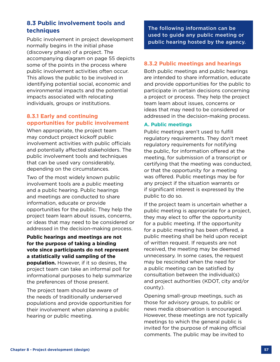# **8.3 Public involvement tools and techniques**

Public involvement in project development normally begins in the initial phase (discovery phase) of a project. The accompanying diagram on page 55 depicts some of the points in the process where public involvement activities often occur. This allows the public to be involved in identifying potential social, economic and environmental impacts and the potential impacts associated with relocating individuals, groups or institutions.

# **8.3.1 Early and continuing opportunities for public involvement**

When appropriate, the project team may conduct project kickoff public involvement activities with public officials and potentially affected stakeholders. The public involvement tools and techniques that can be used vary considerably, depending on the circumstances.

Two of the most widely known public involvement tools are a public meeting and a public hearing. Public hearings and meetings are conducted to share information, educate or provide opportunities for the public. They help the project team learn about issues, concerns, or ideas that may need to be considered or addressed in the decision-making process.

**Public hearings and meetings are not for the purpose of taking a binding vote since participants do not represent a statistically valid sampling of the population.** However, if it so desires, the project team can take an informal poll for informational purposes to help summarize the preferences of those present.

The project team should be aware of the needs of traditionally underserved populations and provide opportunities for their involvement when planning a public hearing or public meeting.

The following information can be used to guide any public meeting or public hearing hosted by the agency.

# **8.3.2 Public meetings and hearings**

Both public meetings and public hearings are intended to share information, educate and provide opportunities for the public to participate in certain decisions concerning a project or process. They help the project team learn about issues, concerns or ideas that may need to be considered or addressed in the decision-making process.

#### **A. Public meetings**

Public meetings aren't used to fulfill regulatory requirements. They don't meet regulatory requirements for notifying the public, for information offered at the meeting, for submission of a transcript or certifying that the meeting was conducted, or that the opportunity for a meeting was offered. Public meetings may be for any project if the situation warrants or if significant interest is expressed by the public to do so.

If the project team is uncertain whether a public meeting is appropriate for a project, they may elect to offer the opportunity for a public meeting. If the opportunity for a public meeting has been offered, a public meeting shall be held upon receipt of written request. If requests are not received, the meeting may be deemed unnecessary. In some cases, the request may be rescinded when the need for a public meeting can be satisfied by consultation between the individual(s) and project authorities (KDOT, city and/or county).

Opening small-group meetings, such as those for advisory groups, to public or news media observation is encouraged. However, these meetings are not typically meetings to which the general public is invited for the purpose of making official comments. The public may be invited to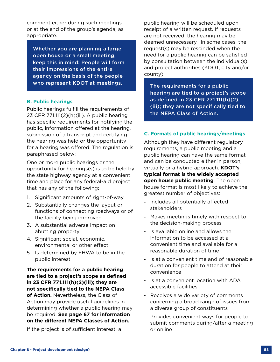comment either during such meetings or at the end of the group's agenda, as appropriate.

Whether you are planning a large open house or a small meeting, keep this in mind: People will form their impressions of the entire agency on the basis of the people who represent KDOT at meetings.

#### **B. Public hearings**

Public hearings fulfill the requirements of 23 CFR 771.111(2)(h)(iii). A public hearing has specific requirements for notifying the public, information offered at the hearing, submission of a transcript and certifying the hearing was held or the opportunity for a hearing was offered. The regulation is paraphrased below:

One or more public hearings or the opportunity for hearings(s) is to be held by the state highway agency at a convenient time and place for any federal-aid project that has any of the following:

- 1. Significant amounts of right-of-way
- 2. Substantially changes the layout or functions of connecting roadways or of the facility being improved
- 3. A substantial adverse impact on abutting property
- 4. Significant social, economic, environmental or other effect
- 5. Is determined by FHWA to be in the public interest

**The requirements for a public hearing are tied to a project's scope as defined in 23 CFR 771.111(h)(2)(iii); they are not specifically tied to the NEPA Class of Action.** Nevertheless, the Class of Action may provide useful guidelines in determining whether a public hearing may be required. **See page 67 for information on the different NEPA Classes of Action.**

If the project is of sufficient interest, a

public hearing will be scheduled upon receipt of a written request. If requests are not received, the hearing may be deemed unnecessary. In some cases, the request(s) may be rescinded when the need for a public hearing can be satisfied by consultation between the individual(s) and project authorities (KDOT, city and/or county).

The requirements for a public hearing are tied to a project's scope as defined in 23 CFR 771.111(h)(2) (iii); they are not specifically tied to the NEPA Class of Action.

#### **C. Formats of public hearings/meetings**

Although they have different regulatory requirements, a public meeting and a public hearing can have the same format and can be conducted either in person, virtually or a hybrid approach. **KDOT's typical format is the widely accepted open house public meeting**. The open house format is most likely to achieve the greatest number of objectives:

- **-** Includes all potentially affected stakeholders
- **-** Makes meetings timely with respect to the decision-making process
- **-** Is available online and allows the information to be accessed at a convenient time and available for a reasonable duration of time
- **-** Is at a convenient time and of reasonable duration for people to attend at their convenience
- **-** Is at a convenient location with ADA accessible facilities
- **-** Receives a wide variety of comments concerning a broad range of issues from a diverse group of constituents
- **-** Provides convenient ways for people to submit comments during/after a meeting or online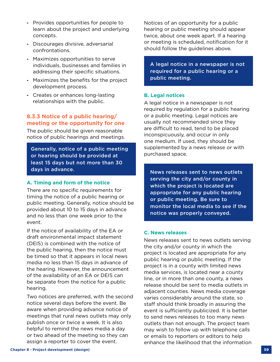- **-** Provides opportunities for people to learn about the project and underlying concepts.
- **-** Discourages divisive, adversarial confrontations.
- **-** Maximizes opportunities to serve individuals, businesses and families in addressing their specific situations.
- **-** Maximizes the benefits for the project development process.
- **-** Creates or enhances long-lasting relationships with the public.

# **8.3.3 Notice of a public hearing/ meeting or the opportunity for one**

The public should be given reasonable notice of public hearings and meetings.

Generally, notice of a public meeting or hearing should be provided at least 15 days but not more than 30 days in advance. The contract of the sense of the News releases sent to news outlets

#### **A. Timing and form of the notice**

There are no specific requirements for timing the notice of a public hearing or public meeting. Generally, notice should be provided about 10 to 15 days in advance and no less than one week prior to the event.

If the notice of availability of the EA or draft environmental impact statement (DEIS) is combined with the notice of the public hearing, then the notice must be timed so that it appears in local news media no less than 15 days in advance of the hearing. However, the announcement of the availability of an EA or DEIS can be separate from the notice for a public hearing.

Two notices are preferred, with the second notice several days before the event. Be aware when providing advance notice of meetings that rural news outlets may only publish once or twice a week. It is also helpful to remind the news media a day or two ahead of the meeting so they can assign a reporter to cover the event.

Notices of an opportunity for a public hearing or public meeting should appear twice, about one week apart. If a hearing or meeting is scheduled, notification for it should follow the guidelines above.

A legal notice in a newspaper is not required for a public hearing or a public meeting.

#### **B. Legal notices**

A legal notice in a newspaper is not required by regulation for a public hearing or a public meeting. Legal notices are usually not recommended since they are difficult to read, tend to be placed inconspicuously, and occur in only one medium. If used, they should be supplemented by a news release or with purchased space.

serving the city and/or county in which the project is located are appropriate for any public hearing or public meeting. Be sure to monitor the local media to see if the notice was properly conveyed.

#### **C. News releases**

News releases sent to news outlets serving the city and/or county in which the project is located are appropriate for any public hearing or public meeting. If the project is in a county with limited news media services, is located near a county line, or in more than one county, a news release should be sent to media outlets in adjacent counties. News media coverage varies considerably around the state, so staff should think broadly in assuring the event is sufficiently publicized. It is better to send news releases to too many news outlets than not enough. The project team may wish to follow up with telephone calls or emails to reporters or editors to help enhance the likelihood that the information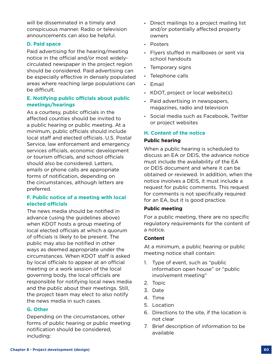will be disseminated in a timely and conspicuous manner. Radio or television announcements can also be helpful.

#### **D. Paid space**

Paid advertising for the hearing/meeting notice in the official and/or most widelycirculated newspaper in the project region should be considered. Paid advertising can be especially effective in densely populated areas where reaching large populations can be difficult.

## **E. Notifying public officials about public meetings/hearings**

As a courtesy, public officials in the affected counties should be invited to a public hearing or public meeting. At a minimum, public officials should include local staff and elected officials. U.S. Postal Service, law enforcement and emergency services officials, economic development or tourism officials, and school officials should also be considered. Letters, emails or phone calls are appropriate forms of notification, depending on the circumstances, although letters are preferred.

# **F. Public notice of a meeting with local elected officials**

The news media should be notified in advance (using the guidelines above) when KDOT hosts a group meeting of local elected officials at which a quorum of officials is likely to be present. The public may also be notified in other ways as deemed appropriate under the circumstances. When KDOT staff is asked by local officials to appear at an official meeting or a work session of the local governing body, the local officials are responsible for notifying local news media and the public about their meetings. Still, the project team may elect to also notify the news media in such cases.

# **G. Other**

Depending on the circumstances, other forms of public hearing or public meeting notification should be considered, including:

- **-** Direct mailings to a project mailing list and/or potentially affected property owners
- **-** Posters
- **-** Flyers stuffed in mailboxes or sent via school handouts
- **-** Temporary signs
- **-** Telephone calls
- **-** Email
- **-** KDOT, project or local website(s)
- **-** Paid advertising in newspapers, magazines, radio and television
- **-** Social media such as Facebook, Twitter or project websites

### **H. Content of the notice**

#### **Public hearing**

When a public hearing is scheduled to discuss an EA or DEIS, the advance notice must include the availability of the EA or DEIS document and where it can be obtained or reviewed. In addition, when the notice involves a DEIS, it must include a request for public comments. This request for comments is not specifically required for an EA, but it is good practice.

#### **Public meeting**

For a public meeting, there are no specific regulatory requirements for the content of a notice.

#### **Content**

At a minimum, a public hearing or public meeting notice shall contain:

- 1. Type of event, such as "public information open house" or "public involvement meeting"
- 2. Topic
- 3. Date
- 4. Time
- 5. Location
- 6. Directions to the site, if the location is not clear
- 7. Brief description of information to be available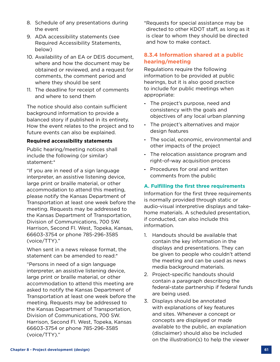- 8. Schedule of any presentations during the event
- 9. ADA accessibility statements (see Required Accessibility Statements, below)
- 10. Availability of an EA or DEIS document, where and how the document may be obtained or reviewed, and a request for comments, the comment period and where they should be sent
- 11. The deadline for receipt of comments and where to send them

The notice should also contain sufficient background information to provide a balanced story if published in its entirety. How the event relates to the project and to future events can also be explained.

#### **Required accessibility statements**

Public hearing/meeting notices shall include the following (or similar) statement:\*

"If you are in need of a sign language interpreter, an assistive listening device, large print or braille material, or other accommodation to attend this meeting, please notify the Kansas Department of Transportation at least one week before the meeting. Requests may be addressed to the Kansas Department of Transportation, Division of Communications, 700 SW. Harrison, Second Fl. West, Topeka, Kansas, 66603-3754 or phone 785-296-3585 (voice/TTY)."

When sent in a news release format, the statement can be amended to read:\*

"Persons in need of a sign language interpreter, an assistive listening device, large print or braille material, or other accommodation to attend this meeting are asked to notify the Kansas Department of Transportation at least one week before the meeting. Requests may be addressed to the Kansas Department of Transportation, Division of Communications, 700 SW. Harrison, Second Fl. West, Topeka, Kansas 66603-3754 or phone 785-296-3585 (voice/TTY)."

\*Requests for special assistance may be directed to other KDOT staff, as long as it is clear to whom they should be directed and how to make contact.

# **8.3.4 Information shared at a public hearing/meeting**

Regulations require the following information to be provided at public hearings, but it is also good practice to include for public meetings when appropriate:

- **-** The project's purpose, need and consistency with the goals and objectives of any local urban planning
- **-** The project's alternatives and major design features
- **-** The social, economic, environmental and other impacts of the project
- **-** The relocation assistance program and right-of-way acquisition process
- **-** Procedures for oral and written comments from the public

# **A. Fulfilling the first three requirements**

Information for the first three requirements is normally provided through static or audio-visual interpretive displays and takehome materials. A scheduled presentation, if conducted, can also include this information.

- 1. Handouts should be available that contain the key information in the displays and presentations. They can be given to people who couldn't attend the meeting and can be used as news media background materials.
- 2. Project-specific handouts should contain a paragraph describing the federal-state partnership if federal funds are being used.
- 3. Displays should be annotated with explanations of key features and sites. Whenever a concept or concepts are displayed or made available to the public, an explanation (disclaimer) should also be included on the illustration(s) to help the viewer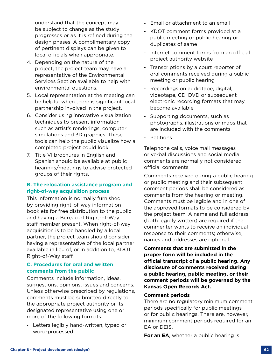understand that the concept may be subject to change as the study progresses or as it is refined during the design phases. A complimentary copy of pertinent displays can be given to local officials when appropriate.

- 4. Depending on the nature of the project, the project team may have a representative of the Environmental Services Section available to help with environmental questions.
- 5. Local representation at the meeting can be helpful when there is significant local partnership involved in the project.
- 6. Consider using innovative visualization techniques to present information such as artist's renderings, computer simulations and 3D graphics. These tools can help the public visualize how a completed project could look.
- 7. Title VI brochures in English and Spanish should be available at public hearings/meetings to advise protected groups of their rights.

### **B. The relocation assistance program and right-of-way acquisition process**

This information is normally furnished by providing right-of-way information booklets for free distribution to the public and having a Bureau of Right-of-Way staff member present. When right-of-way acquisition is to be handled by a local partner, the project team should consider having a representative of the local partner available in lieu of, or in addition to, KDOT Right-of-Way staff.

#### **C. Procedures for oral and written comments from the public**

Comments include information, ideas, suggestions, opinions, issues and concerns. Unless otherwise prescribed by regulations, comments must be submitted directly to the appropriate project authority or its designated representative using one or more of the following formats:

**-** Letters legibly hand-written, typed or word-processed

- **-** Email or attachment to an email
- **-** KDOT comment forms provided at a public meeting or public hearing or duplicates of same
- **-** Internet comment forms from an official project authority website
- **-** Transcriptions by a court reporter of oral comments received during a public meeting or public hearing
- **-** Recordings on audiotape, digital, videotape, CD, DVD or subsequent electronic recording formats that may become available
- **-** Supporting documents, such as photographs, illustrations or maps that are included with the comments
- **-** Petitions

Telephone calls, voice mail messages or verbal discussions and social media comments are normally not considered official comments.

Comments received during a public hearing or public meeting and their subsequent comment periods shall be considered as comments from the hearing or meeting. Comments must be legible and in one of the approved formats to be considered by the project team. A name and full address (both legibly written) are required if the commenter wants to receive an individual response to their comments; otherwise, names and addresses are optional.

**Comments that are submitted in the proper form will be included in the official transcript of a public hearing. Any disclosure of comments received during a public hearing, public meeting, or their comment periods will be governed by the Kansas Open Records Act.**

#### **Comment periods**

There are no regulatory minimum comment periods specifically for public meetings or for public hearings. There are, however, minimum comment periods required for an EA or DEIS.

**For an EA**, whether a public hearing is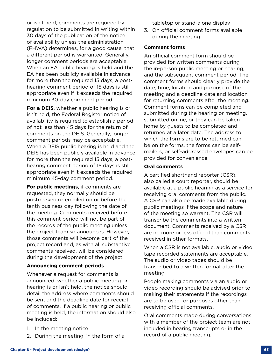- 1. In the meeting notice
- 2. During the meeting, in the form of a

or isn't held, comments are required by regulation to be submitted in writing within 30 days of the publication of the notice of availability unless the administration (FHWA) determines, for a good cause, that a different period is warranted. Generally, longer comment periods are acceptable. When an EA public hearing is held and the EA has been publicly available in advance for more than the required 15 days, a posthearing comment period of 15 days is still appropriate even if it exceeds the required

**For a DEIS**, whether a public hearing is or isn't held, the Federal Register notice of availability is required to establish a period of not less than 45 days for the return of comments on the DEIS. Generally, longer comment periods may be acceptable. When a DEIS public hearing is held and the DEIS has been publicly available in advance for more than the required 15 days, a posthearing comment period of 15 days is still appropriate even if it exceeds the required minimum 45-day comment period.

minimum 30-day comment period.

**For public meetings**, if comments are requested, they normally should be postmarked or emailed on or before the tenth business day following the date of the meeting. Comments received before this comment period will not be part of the records of the public meeting unless the project team so announces. However, those comments will become part of the project record and, as with all substantive comments received, will be considered during the development of the project.

# **Announcing comment periods**

Whenever a request for comments is announced, whether a public meeting or hearing is or isn't held, the notice should detail the address where comments should be sent and the deadline date for receipt

tabletop or stand-alone display

3. On official comment forms available during the meeting

# **Comment forms**

An official comment form should be provided for written comments during the in-person public meeting or hearing, and the subsequent comment period. The comment forms should clearly provide the date, time, location and purpose of the meeting and a deadline date and location for returning comments after the meeting. Comment forms can be completed and submitted during the hearing or meeting, submitted online, or they can be taken home by guests to be completed and returned at a later date. The address to which the forms are to be returned can be on the forms, the forms can be selfmailers, or self-addressed envelopes can be provided for convenience.

### **Oral comments**

A certified shorthand reporter (CSR), also called a court reporter, should be available at a public hearing as a service for receiving oral comments from the public. A CSR can also be made available during public meetings if the scope and nature of the meeting so warrant. The CSR will transcribe the comments into a written document. Comments received by a CSR are no more or less official than comments received in other formats.

When a CSR is not available, audio or video tape recorded statements are acceptable. The audio or video tapes should be transcribed to a written format after the meeting.

People making comments via an audio or video recording should be advised prior to making their statements if the recordings are to be used for purposes other than receiving official comments.

Oral comments made during conversations with a member of the project team are not included in hearing transcripts or in the record of a public meeting.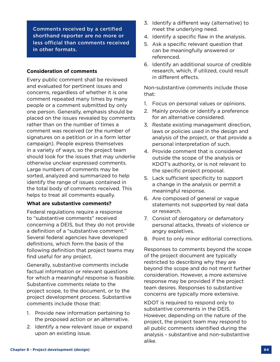Comments received by a certified shorthand reporter are no more or less official than comments received in other formats.

#### **Consideration of comments**

Every public comment shall be reviewed and evaluated for pertinent issues and concerns, regardless of whether it is one comment repeated many times by many people or a comment submitted by only one person. Generally, emphasis should be placed on the issues revealed by comments rather than on the number of times a comment was received (or the number of signatures on a petition or in a form letter campaign). People express themselves in a variety of ways, so the project team should look for the issues that may underlie otherwise unclear expressed comments. Large numbers of comments may be sorted, analyzed and summarized to help identify the range of issues contained in the total body of comments received. This helps to treat all comments equally.

#### **What are substantive comments?**

Federal regulations require a response to "substantive comments" received concerning a DEIS, but they do not provide a definition of a "substantive comment." Several federal agencies have developed definitions, which form the basis of the following definition that project teams may find useful for any project.

Generally, substantive comments include factual information or relevant questions for which a meaningful response is feasible. Substantive comments relate to the project scope, to the document, or to the project development process. Substantive comments include those that:

- 1. Provide new information pertaining to the proposed action or an alternative.
- 2. Identify a new relevant issue or expand upon an existing issue.
- 3. Identify a different way (alternative) to meet the underlying need.
- 4. Identify a specific flaw in the analysis.
- 5. Ask a specific relevant question that can be meaningfully answered or referenced.
- 6. Identify an additional source of credible research, which, if utilized, could result in different effects.

Non-substantive comments include those that:

- 1. Focus on personal values or opinions.
- 2. Mainly provide or identify a preference for an alternative considered.
- 3. Restate existing management direction, laws or policies used in the design and analysis of the project, or that provide a personal interpretation of such.
- 4. Provide comment that is considered outside the scope of the analysis or KDOT's authority, or is not relevant to the specific project proposal.
- 5. Lack sufficient specificity to support a change in the analysis or permit a meaningful response.
- 6. Are composed of general or vague statements not supported by real data or research.
- 7. Consist of derogatory or defamatory personal attacks, threats of violence or angry expletives.
- 8. Point to only minor editorial corrections.

Responses to comments beyond the scope of the project document are typically restricted to describing why they are beyond the scope and do not merit further consideration. However, a more extensive response may be provided if the project team desires. Responses to substantive concerns are typically more extensive.

KDOT is required to respond only to substantive comments in the DEIS. However, depending on the nature of the project, the project team may respond to all public comments identified during the analysis - substantive and non-substantive alike.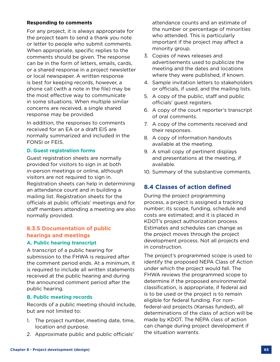#### **Responding to comments**

For any project, it is always appropriate for the project team to send a thank you note or letter to people who submit comments. When appropriate, specific replies to the comments should be given. The response can be in the form of letters, emails, cards, or a shared response in a project newsletter or local newspaper. A written response is best for keeping records, however, a phone call (with a note in the file) may be the most effective way to communicate in some situations. When multiple similar concerns are received, a single shared response may be provided.

In addition, the responses to comments received for an EA or a draft EIS are normally summarized and included in the FONSI or FEIS.

#### **D. Guest registration forms**

Guest registration sheets are normally provided for visitors to sign in at both in-person meetings or online, although visitors are not required to sign in. Registration sheets can help in determining an attendance count and in building a mailing list. Registration sheets for the officials at public officials' meetings and for staff members attending a meeting are also normally provided.

# **8.3.5 Documentation of public hearings and meetings**

#### **A. Public hearing transcript**

A transcript of a public hearing for submission to the FHWA is required after the comment period ends. At a minimum, it is required to include all written statements received at the public hearing and during the announced comment period after the public hearing.

#### **B. Public meeting records**

Records of a public meeting should include, but are not limited to:

- 1. The project number, meeting date, time, location and purpose.
- 2. Approximate public and public officials'

attendance counts and an estimate of the number or percentage of minorities who attended. This is particularly important if the project may affect a minority group.

- 3. Copies of news releases and advertisements used to publicize the meeting and the dates and locations where they were published, if known.
- 4. Sample invitation letters to stakeholders or officials, if used, and the mailing lists.
- 5. A copy of the public, staff and public officials' guest registers.
- 6. A copy of the court reporter's transcript of oral comments.
- 7. A copy of the comments received and their responses.
- 8. A copy of information handouts available at the meeting.
- 9. A small copy of pertinent displays and presentations at the meeting, if available.
- 10. Summary of the substantive comments.

# **8.4 Classes of action defined**

During the project programming process, a project is assigned a tracking number; its scope, funding, schedule and costs are estimated; and it is placed in KDOT's project authorization process. Estimates and schedules can change as the project moves through the project development process. Not all projects end in construction.

The project's programmed scope is used to identify the proposed NEPA Class of Action under which the project would fall. The FHWA reviews the programmed scope to determine if the proposed environmental classification, is appropriate, if federal aid is to be used or the project is to remain eligible for federal funding. For nonfederal-aid projects (Kansas funded), all determinations of the class of action will be made by KDOT. The NEPA class of action can change during project development if the situation warrants.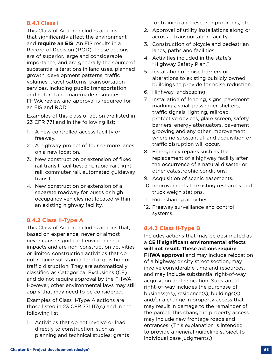# **8.4.1 Class I**

This Class of Action includes actions that significantly affect the environment and **require an EIS**. An EIS results in a Record of Decision (ROD). These actions are of superior, large and considerable importance, and are generally the source of substantial alterations in land uses, planned growth, development patterns, traffic volumes, travel patterns, transportation services, including public transportation, and natural and man-made resources. FHWA review and approval is required for an EIS and ROD.

Examples of this class of action are listed in 23 CFR 771 and in the following list:

- 1. A new controlled access facility or freeway.
- 2. A highway project of four or more lanes on a new location.
- 3. New construction or extension of fixed rail transit facilities; e.g., rapid rail, light rail, commuter rail, automated guideway transit.
- 4. New construction or extension of a separate roadway for buses or high occupancy vehicles not located within an existing highway facility.

# **8.4.2 Class II-Type A**

This Class of Action includes actions that, based on experience, never or almost never cause significant environmental impacts and are non-construction activities or limited construction activities that do not require substantial land acquisition or traffic disruption. They are automatically classified as Categorical Exclusions (CE) and do not require approval by the FHWA. However, other environmental laws may still apply that may need to be considered.

Examples of Class II-Type A actions are those listed in 23 CFR 771.117(c) and in the following list:

1. Activities that do not involve or lead directly to construction, such as, planning and technical studies; grants for training and research programs, etc.

- 2. Approval of utility installations along or across a transportation facility.
- 3. Construction of bicycle and pedestrian lanes, paths and facilities.
- 4. Activities included in the state's "Highway Safety Plan."
- 5. Installation of noise barriers or alterations to existing publicly owned buildings to provide for noise reduction.
- 6. Highway landscaping.
- 7. Installation of fencing, signs, pavement markings, small passenger shelters, traffic signals, lighting, railroad protective devices, glare screen, safety barriers, energy attenuators, pavement grooving and any other improvement where no substantial land acquisition or traffic disruption will occur.
- 8. Emergency repairs such as the replacement of a highway facility after the occurrence of a natural disaster or other catastrophic conditions.
- 9. Acquisition of scenic easements.
- 10. Improvements to existing rest areas and truck weigh stations.
- 11. Ride-sharing activities.
- 12. Freeway surveillance and control systems.

# **8.4.3 Class II-Type B**

Includes actions that may be designated as a **CE if significant environmental effects will not result. These actions require FHWA approval** and may include relocation of a highway or city street section, may involve considerable time and resources, and may include substantial right-of-way acquisition and relocation. Substantial right-of-way includes the purchase of business(es), residence(s), buildings(s), and/or a change in property access that may result in damage to the remainder of the parcel. This change in property access may include new frontage roads and entrances. (This explanation is intended to provide a general guideline subject to individual case judgments.)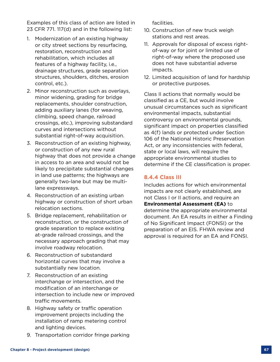Examples of this class of action are listed in 23 CFR 771. 117(d) and in the following list:

- 1. Modernization of an existing highway or city street sections by resurfacing, restoration, reconstruction and rehabilitation, which includes all features of a highway facility, i.e., drainage structures, grade separation structures, shoulders, ditches, erosion control, etc.).
- 2. Minor reconstruction such as overlays, minor widening, grading for bridge replacements, shoulder construction, adding auxiliary lanes (for weaving, climbing, speed change, railroad crossings, etc.), improving substandard curves and intersections without substantial right-of-way acquisition.
- 3. Reconstruction of an existing highway, or construction of any new rural highway that does not provide a change in access to an area and would not be likely to precipitate substantial changes in land use patterns; the highways are generally two-lane but may be multilane expressways.
- 4. Reconstruction of an existing urban highway or construction of short urban relocation sections.
- 5. Bridge replacement, rehabilitation or reconstruction, or the construction of grade separation to replace existing at-grade railroad crossings, and the necessary approach grading that may involve roadway relocation.
- 6. Reconstruction of substandard horizontal curves that may involve a substantially new location.
- 7. Reconstruction of an existing interchange or intersection, and the modification of an interchange or intersection to include new or improved traffic movements.
- 8. Highway safety or traffic operation improvement projects including the installation of ramp metering control and lighting devices.
- 9. Transportation corridor fringe parking

facilities.

- 10. Construction of new truck weigh stations and rest areas.
- 11. Approvals for disposal of excess rightof-way or for joint or limited use of right-of-way where the proposed use does not have substantial adverse impacts.
- 12. Limited acquisition of land for hardship or protective purposes.

Class II actions that normally would be classified as a CE, but would involve unusual circumstances such as significant environmental impacts, substantial controversy on environmental grounds, significant impact on properties classified as 4(f) lands or protected under Section 106 of the National Historic Preservation Act, or any inconsistencies with federal, state or local laws, will require the appropriate environmental studies to determine if the CE classification is proper.

# **8.4.4 Class III**

Includes actions for which environmental impacts are not clearly established, are not Class I or II actions, and require an **Environmental Assessment (EA)** to determine the appropriate environmental document. An EA results in either a Finding of No Significant Impact (FONSI) or the preparation of an EIS. FHWA review and approval is required for an EA and FONSI.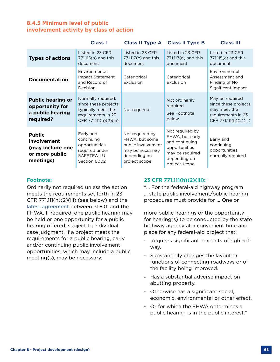# **8.4.5 Minimum level of public involvement activity by class of action**

|                                                                                 | <b>Class I</b>                                                                                                   | <b>Class II Type A</b>                                                                                       | <b>Class II Type B</b>                                                                                                    | <b>Class III</b>                                                                                        |
|---------------------------------------------------------------------------------|------------------------------------------------------------------------------------------------------------------|--------------------------------------------------------------------------------------------------------------|---------------------------------------------------------------------------------------------------------------------------|---------------------------------------------------------------------------------------------------------|
| <b>Types of actions</b>                                                         | Listed in 23 CFR<br>771.115(a) and this<br>document                                                              | Listed in 23 CFR<br>771.117(c) and this<br>document                                                          | Listed in 23 CFR<br>771.117(d) and this<br>document                                                                       | Listed in 23 CFR<br>771.115(c) and this<br>document                                                     |
| <b>Documentation</b>                                                            | Environmental<br>Impact Statement<br>and Record of<br>Decision                                                   | Categorical<br>Exclusion                                                                                     | Categorical<br>Exclusion                                                                                                  | Environmental<br>Assessment and<br>Finding of No<br>Significant Impact                                  |
| <b>Public hearing or</b><br>opportunity for<br>a public hearing<br>required?    | Normally required,<br>since these projects<br>typically meet the<br>requirements in 23<br>CFR 771.111(h)(2)(iii) | Not required                                                                                                 | Not ordinarily<br>required<br>See Footnote<br>below                                                                       | May be required<br>since these projects<br>may meet the<br>requirements in 23<br>CFR 771.111(h)(2)(iii) |
| <b>Public</b><br>involvement<br>(may include one<br>or more public<br>meetings) | Early and<br>continuing<br>opportunities<br>required under<br>SAFETEA-LU<br>Section 6002                         | Not required by<br>FHWA, but some<br>public involvement<br>may be necessary<br>depending on<br>project scope | Not required by<br>FHWA, but early<br>and continuing<br>opportunities<br>may be required<br>depending on<br>project scope | Early and<br>continuing<br>opportunities<br>normally required                                           |

#### **Footnote:**

Ordinarily not required unless the action meets the requirements set forth in 23 CFR  $771.111(h)(2)(iii)$  (see below) and the [latest agreement](https://www.fhwa.dot.gov/federalaid/stewardship/agreements/ks.pdf) between KDOT and the FHWA. If required, one public hearing may be held or one opportunity for a public hearing offered, subject to individual case judgment. If a project meets the requirements for a public hearing, early and/or continuing public involvement opportunities, which may include a public meeting(s), may be necessary.

# **23 CFR 771.111(h)(2)(iii):**

"... For the federal-aid highway program ... state public involvement/public hearing procedures must provide for ... One or

more public hearings or the opportunity for hearing(s) to be conducted by the state highway agency at a convenient time and place for any federal-aid project that:

- **-** Requires significant amounts of right-ofway.
- **-** Substantially changes the layout or functions of connecting roadways or of the facility being improved.
- **-** Has a substantial adverse impact on abutting property.
- **-** Otherwise has a significant social, economic, environmental or other effect.
- **-** Or for which the FHWA determines a public hearing is in the public interest."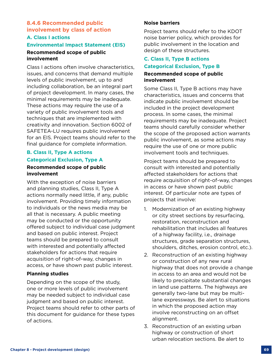## **8.4.6 Recommended public involvement by class of action A. Class I actions**

#### **Environmental Impact Statement (EIS)**

#### **Recommended scope of public involvement**

Class I actions often involve characteristics, issues, and concerns that demand multiple levels of public involvement, up to and including collaboration, be an integral part of project development. In many cases, the minimal requirements may be inadequate. These actions may require the use of a variety of public involvement tools and techniques that are implemented with creativity and innovation. Section 6002 of SAFETEA-LU requires public involvement for an EIS. Project teams should refer to the final guidance for complete information.

# **B. Class II, Type A actions Categorical Exclusion, Type A Recommended scope of public involvement**

With the exception of noise barriers and planning studies, Class II, Type A actions normally need little, if any, public involvement. Providing timely information to individuals or the news media may be all that is necessary. A public meeting may be conducted or the opportunity offered subject to individual case judgment and based on public interest. Project teams should be prepared to consult with interested and potentially affected stakeholders for actions that require acquisition of right-of-way, changes in access, or have shown past public interest.

# **Planning studies**

Depending on the scope of the study, one or more levels of public involvement may be needed subject to individual case judgment and based on public interest. Project teams should refer to other parts of this document for guidance for these types of actions.

## **Noise barriers**

Project teams should refer to the KDOT noise barrier policy, which provides for public involvement in the location and design of these structures.

# **C. Class II, Type B actions**

#### **Categorical Exclusion, Type B**

#### **Recommended scope of public involvement**

Some Class II, Type B actions may have characteristics, issues and concerns that indicate public involvement should be included in the project development process. In some cases, the minimal requirements may be inadequate. Project teams should carefully consider whether the scope of the proposed action warrants public involvement, as some actions may require the use of one or more public involvement tools and techniques.

Project teams should be prepared to consult with interested and potentially affected stakeholders for actions that require acquisition of right-of-way, changes in access or have shown past public interest. Of particular note are types of projects that involve:

- 1. Modernization of an existing highway or city street sections by resurfacing, restoration, reconstruction and rehabilitation that includes all features of a highway facility, i.e., drainage structures, grade separation structures, shoulders, ditches, erosion control, etc.).
- 2. Reconstruction of an existing highway or construction of any new rural highway that does not provide a change in access to an area and would not be likely to precipitate substantial changes in land use patterns. The highways are generally two-lane but may be multilane expressways. Be alert to situations in which the proposed action may involve reconstructing on an offset alignment.
- 3. Reconstruction of an existing urban highway or construction of short urban relocation sections. Be alert to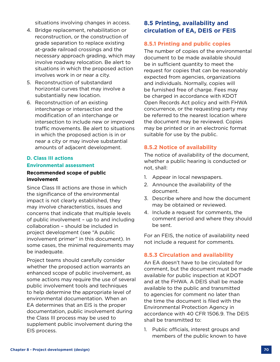situations involving changes in access.

- 4. Bridge replacement, rehabilitation or reconstruction, or the construction of grade separation to replace existing at-grade railroad crossings and the necessary approach grading, which may involve roadway relocation. Be alert to situations in which the proposed action involves work in or near a city.
- 5. Reconstruction of substandard horizontal curves that may involve a substantially new location.
- 6. Reconstruction of an existing interchange or intersection and the modification of an interchange or intersection to include new or improved traffic movements. Be alert to situations in which the proposed action is in or near a city or may involve substantial amounts of adjacent development.

# **D. Class III actions Environmental assessment**

## **Recommended scope of public involvement**

Since Class III actions are those in which the significance of the environmental impact is not clearly established, they may involve characteristics, issues and concerns that indicate that multiple levels of public involvement – up to and including collaboration – should be included in project development (see "A public involvement primer" in this document). In some cases, the minimal requirements may be inadequate.

Project teams should carefully consider whether the proposed action warrants an enhanced scope of public involvement, as some actions may require the use of several public involvement tools and techniques to help determine the appropriate level of environmental documentation. When an EA determines that an EIS is the proper documentation, public involvement during the Class III process may be used to supplement public involvement during the EIS process.

# **8.5 Printing, availability and circulation of EA, DEIS or FEIS**

# **8.5.1 Printing and public copies**

The number of copies of the environmental document to be made available should be in sufficient quantity to meet the request for copies that can be reasonably expected from agencies, organizations and individuals. Normally, copies will be furnished free of charge. Fees may be charged in accordance with KDOT Open Records Act policy and with FHWA concurrence, or the requesting party may be referred to the nearest location where the document may be reviewed. Copies may be printed or in an electronic format suitable for use by the public.

# **8.5.2 Notice of availability**

The notice of availability of the document, whether a public hearing is conducted or not, shall:

- 1. Appear in local newspapers.
- 2. Announce the availability of the document.
- 3. Describe where and how the document may be obtained or reviewed.
- 4. Include a request for comments, the comment period and where they should be sent.

For an FEIS, the notice of availability need not include a request for comments.

# **8.5.3 Circulation and availability**

An EA doesn't have to be circulated for comment, but the document must be made available for public inspection at KDOT and at the FHWA. A DEIS shall be made available to the public and transmitted to agencies for comment no later than the time the document is filed with the Environmental Protection Agency in accordance with 40 CFR 1506.9. The DEIS shall be transmitted to:

1. Public officials, interest groups and members of the public known to have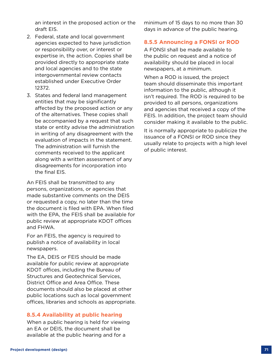an interest in the proposed action or the draft EIS.

- 2. Federal, state and local government agencies expected to have jurisdiction or responsibility over, or interest or expertise in, the action. Copies shall be provided directly to appropriate state and local agencies and to the state intergovernmental review contacts established under Executive Order 12372.
- 3. States and federal land management entities that may be significantly affected by the proposed action or any of the alternatives. These copies shall be accompanied by a request that such state or entity advise the administration in writing of any disagreement with the evaluation of impacts in the statement. The administration will furnish the comments received to the applicant along with a written assessment of any disagreements for incorporation into the final EIS.

An FEIS shall be transmitted to any persons, organizations, or agencies that made substantive comments on the DEIS or requested a copy, no later than the time the document is filed with EPA. When filed with the EPA, the FEIS shall be available for public review at appropriate KDOT offices and FHWA.

For an FEIS, the agency is required to publish a notice of availability in local newspapers.

The EA, DEIS or FEIS should be made available for public review at appropriate KDOT offices, including the Bureau of Structures and Geotechnical Services, District Office and Area Office. These documents should also be placed at other public locations such as local government offices, libraries and schools as appropriate.

# **8.5.4 Availability at public hearing**

When a public hearing is held for viewing an EA or DEIS, the document shall be available at the public hearing and for a

minimum of 15 days to no more than 30 days in advance of the public hearing.

# **8.5.5 Announcing a FONSI or ROD**

A FONSI shall be made available to the public on request and a notice of availability should be placed in local newspapers, at a minimum.

When a ROD is issued, the project team should disseminate this important information to the public, although it isn't required. The ROD is required to be provided to all persons, organizations and agencies that received a copy of the FEIS. In addition, the project team should consider making it available to the public.

It is normally appropriate to publicize the issuance of a FONSI or ROD since they usually relate to projects with a high level of public interest.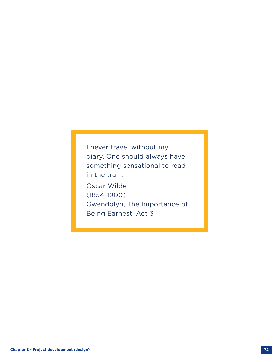I never travel without my diary. One should always have something sensational to read in the train.

Oscar Wilde (1854-1900) Gwendolyn, The Importance of Being Earnest, Act 3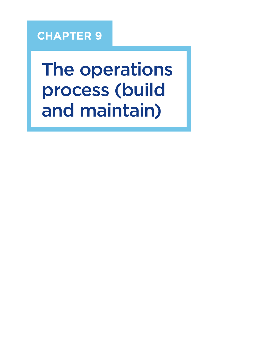# **CHAPTER 9**

The operations process (build and maintain)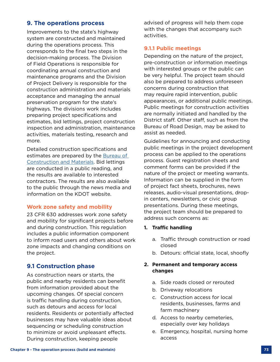# **9. The operations process**

Improvements to the state's highway system are constructed and maintained during the operations process. This corresponds to the final two steps in the decision-making process. The Division of Field Operations is responsible for coordinating annual construction and maintenance programs and the Division of Project Delivery is responsible for the construction administration and materials acceptance and managing the annual preservation program for the state's highways. The divisions work includes preparing project specifications and estimates, bid lettings, project construction inspection and administration, maintenance activities, materials testing, research and more.

Detailed construction specifications and estimates are prepared by the Bureau of [Construction and Materials.](https://www.ksdot.org/bureaus/burconsmain/default.asp) Bid lettings are conducted in a public reading, and the results are available to interested contractors. The results are also available to the public through the news media and information on the KDOT website.

# **Work zone safety and mobility**

23 CFR 630 addresses work zone safety and mobility for significant projects before and during construction. This regulation includes a public information component to inform road users and others about work zone impacts and changing conditions on the project.

# **9.1 Construction phase**

As construction nears or starts, the public and nearby residents can benefit from information provided about the upcoming changes. Of special concern is traffic handling during construction, such as detours and access for local residents. Residents or potentially affected businesses may have valuable ideas about sequencing or scheduling construction to minimize or avoid unpleasant effects. During construction, keeping people

advised of progress will help them cope with the changes that accompany such activities.

# **9.1.1 Public meetings**

Depending on the nature of the project, pre-construction or information meetings with interested groups or the public can be very helpful. The project team should also be prepared to address unforeseen concerns during construction that may require rapid intervention, public appearances, or additional public meetings. Public meetings for construction activities are normally initiated and handled by the District staff. Other staff, such as from the Bureau of Road Design, may be asked to assist as needed.

Guidelines for announcing and conducting public meetings in the project development process can be applied to the operations process. Guest registration sheets and comment forms can be provided if the nature of the project or meeting warrants. Information can be supplied in the form of project fact sheets, brochures, news releases, audio-visual presentations, dropin centers, newsletters, or civic group presentations. During these meetings, the project team should be prepared to address such concerns as:

#### **1. Traffic handling**

- a. Traffic through construction or road closed
- b. Detours: official state, local, shoofly

# **2. Permanent and temporary access changes**

- a. Side roads closed or rerouted
- b. Driveway relocations
- c. Construction access for local residents, businesses, farms and farm machinery
- d. Access to nearby cemeteries, especially over key holidays
- e. Emergency, hospital, nursing home access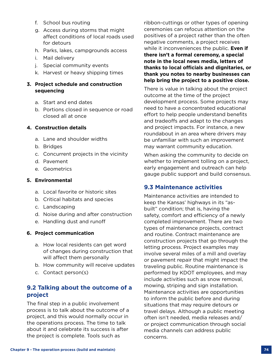- f. School bus routing
- g. Access during storms that might affect conditions of local roads used for detours
- h. Parks, lakes, campgrounds access
- i. Mail delivery
- j. Special community events
- k. Harvest or heavy shipping times

## **3. Project schedule and construction sequencing**

- a. Start and end dates
- b. Portions closed in sequence or road closed all at once

# **4. Construction details**

- a. Lane and shoulder widths
- b. Bridges
- c. Concurrent projects in the vicinity
- d. Pavement
- e. Geometrics

## **5. Environmental**

- a. Local favorite or historic sites
- b. Critical habitats and species
- c. Landscaping
- d. Noise during and after construction
- e. Handling dust and runoff

# **6. Project communication**

- a. How local residents can get word of changes during construction that will affect them personally
- b. How community will receive updates
- c. Contact person(s)

# **9.2 Talking about the outcome of a project**

The final step in a public involvement process is to talk about the outcome of a project, and this would normally occur in the operations process. The time to talk about it and celebrate its success is after the project is complete. Tools such as

ribbon-cuttings or other types of opening ceremonies can refocus attention on the positives of a project rather than the often negative comments, a project receives while it inconveniences the public. **Even if there isn't a formal ceremony, a special note in the local news media, letters of thanks to local officials and dignitaries, or thank you notes to nearby businesses can help bring the project to a positive close.**

There is value in talking about the project outcome at the time of the project development process. Some projects may need to have a concentrated educational effort to help people understand benefits and tradeoffs and adapt to the changes and project impacts. For instance, a new roundabout in an area where drivers may be unfamiliar with such an improvement may warrant community education.

When asking the community to decide on whether to implement tolling on a project, early engagement and outreach can help gauge public support and build consensus.

# **9.3 Maintenance activities**

Maintenance activities are intended to keep the Kansas' highways in its "asbuilt" condition; that is, having the safety, comfort and efficiency of a newly completed improvement. There are two types of maintenance projects, contract and routine. Contract maintenance are construction projects that go through the letting process. Project examples may involve several miles of a mill and overlay or pavement repair that might impact the traveling public. Routine maintenance is performed by KDOT employees, and may include activities such as snow removal, mowing, striping and sign installation. Maintenance activities are opportunities to inform the public before and during situations that may require detours or travel delays. Although a public meeting often isn't needed, media releases and/ or project communication through social media channels can address public concerns.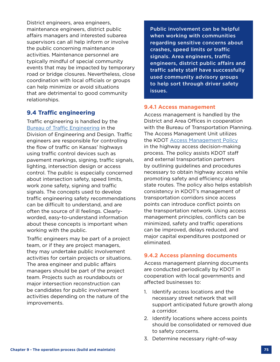District engineers, area engineers, maintenance engineers, district public affairs managers and interested subarea supervisors can all help inform or involve the public concerning maintenance activities. Maintenance personnel are typically mindful of special community events that may be impacted by temporary road or bridge closures. Nevertheless, close coordination with local officials or groups can help minimize or avoid situations that are detrimental to good community relationships.

# **9.4 Traffic engineering**

Traffic engineering is handled by the [Bureau of Traffic Engineering](https://www.ksdot.org/bureaus/burTrafficSaf/default.asp) in the Division of Engineering and Design. Traffic engineers are responsible for controlling the flow of traffic on Kansas' highways using traffic control devices such as pavement markings, signing, traffic signals, lighting, intersection design or access control. The public is especially concerned about intersection safety, speed limits, work zone safety, signing and traffic signals. The concepts used to develop traffic engineering safety recommendations can be difficult to understand, and are often the source of ill feelings. Clearlyworded, easy-to-understand information about these concepts is important when working with the public.

Traffic engineers may be part of a project team, or if they are project managers, they may undertake public involvement activities for certain projects or situations. The area engineer and public affairs managers should be part of the project team. Projects such as roundabouts or major intersection reconstruction can be candidates for public involvement activities depending on the nature of the improvements.

Public involvement can be helpful when working with communities regarding sensitive concerns about crashes, speed limits or traffic signals. Area engineers, traffic engineers, district public affairs and traffic safety staff have successfully used community advisory groups to help sort through driver safety issues.

#### **9.4.1 Access management**

Access management is handled by the District and Area Offices in cooperation with the Bureau of Transportation Planning. The Access Management Unit utilizes the KDOT [Access Management Policy](https://www.ksdot.org/accessmanagement/#) in the highway access decision-making process. The policy assists KDOT staff and external transportation partners by outlining guidelines and procedures necessary to obtain highway access while promoting safety and efficiency along state routes. The policy also helps establish consistency in KDOT's management of transportation corridors since access points can introduce conflict points on the transportation network. Using access management principles, conflicts can be minimized, safety and traffic operations can be improved, delays reduced, and major capital expenditures postponed or eliminated.

#### **9.4.2 Access planning documents**

Access management planning documents are conducted periodically by KDOT in cooperation with local governments and affected businesses to:

- 1. Identify access locations and the necessary street network that will support anticipated future growth along a corridor.
- 2. Identify locations where access points should be consolidated or removed due to safety concerns.
- 3. Determine necessary right-of-way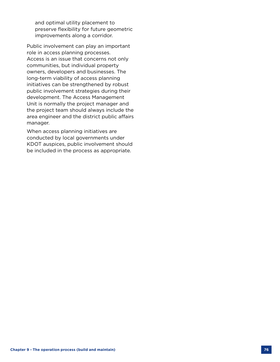and optimal utility placement to preserve flexibility for future geometric improvements along a corridor.

Public involvement can play an important role in access planning processes. Access is an issue that concerns not only communities, but individual property owners, developers and businesses. The long-term viability of access planning initiatives can be strengthened by robust public involvement strategies during their development. The Access Management Unit is normally the project manager and the project team should always include the area engineer and the district public affairs manager.

When access planning initiatives are conducted by local governments under KDOT auspices, public involvement should be included in the process as appropriate.